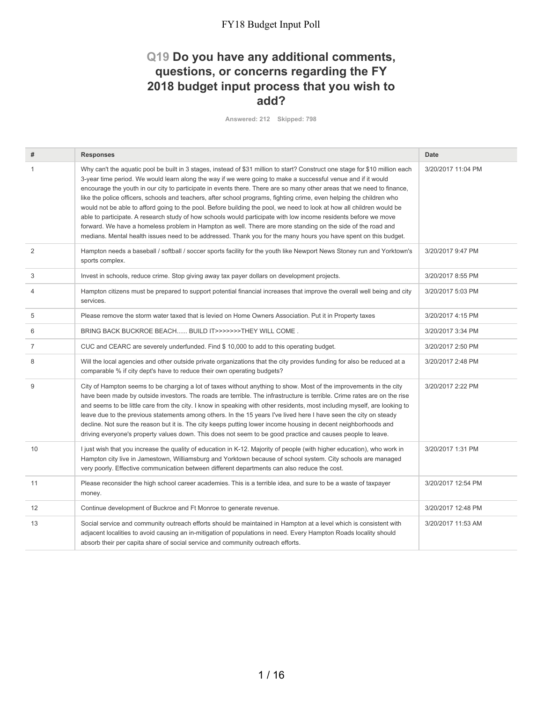### **Q19 Do you have any additional comments, questions, or concerns regarding the FY 2018 budget input process that you wish to add?**

**Answered: 212 Skipped: 798**

| #              | <b>Responses</b>                                                                                                                                                                                                                                                                                                                                                                                                                                                                                                                                                                                                                                                                                                                                                                                                                                                                                                                                                             | <b>Date</b>        |
|----------------|------------------------------------------------------------------------------------------------------------------------------------------------------------------------------------------------------------------------------------------------------------------------------------------------------------------------------------------------------------------------------------------------------------------------------------------------------------------------------------------------------------------------------------------------------------------------------------------------------------------------------------------------------------------------------------------------------------------------------------------------------------------------------------------------------------------------------------------------------------------------------------------------------------------------------------------------------------------------------|--------------------|
| $\mathbf{1}$   | Why can't the aquatic pool be built in 3 stages, instead of \$31 million to start? Construct one stage for \$10 million each<br>3-year time period. We would learn along the way if we were going to make a successful venue and if it would<br>encourage the youth in our city to participate in events there. There are so many other areas that we need to finance,<br>like the police officers, schools and teachers, after school programs, fighting crime, even helping the children who<br>would not be able to afford going to the pool. Before building the pool, we need to look at how all children would be<br>able to participate. A research study of how schools would participate with low income residents before we move<br>forward. We have a homeless problem in Hampton as well. There are more standing on the side of the road and<br>medians. Mental health issues need to be addressed. Thank you for the many hours you have spent on this budget. | 3/20/2017 11:04 PM |
| 2              | Hampton needs a baseball / softball / soccer sports facility for the youth like Newport News Stoney run and Yorktown's<br>sports complex.                                                                                                                                                                                                                                                                                                                                                                                                                                                                                                                                                                                                                                                                                                                                                                                                                                    | 3/20/2017 9:47 PM  |
| 3              | Invest in schools, reduce crime. Stop giving away tax payer dollars on development projects.                                                                                                                                                                                                                                                                                                                                                                                                                                                                                                                                                                                                                                                                                                                                                                                                                                                                                 | 3/20/2017 8:55 PM  |
| $\overline{4}$ | Hampton citizens must be prepared to support potential financial increases that improve the overall well being and city<br>services.                                                                                                                                                                                                                                                                                                                                                                                                                                                                                                                                                                                                                                                                                                                                                                                                                                         | 3/20/2017 5:03 PM  |
| 5              | Please remove the storm water taxed that is levied on Home Owners Association. Put it in Property taxes                                                                                                                                                                                                                                                                                                                                                                                                                                                                                                                                                                                                                                                                                                                                                                                                                                                                      | 3/20/2017 4:15 PM  |
| 6              | BRING BACK BUCKROE BEACH BUILD IT>>>>>>>THEY WILL COME.                                                                                                                                                                                                                                                                                                                                                                                                                                                                                                                                                                                                                                                                                                                                                                                                                                                                                                                      | 3/20/2017 3:34 PM  |
| $\overline{7}$ | CUC and CEARC are severely underfunded. Find \$10,000 to add to this operating budget.                                                                                                                                                                                                                                                                                                                                                                                                                                                                                                                                                                                                                                                                                                                                                                                                                                                                                       | 3/20/2017 2:50 PM  |
| 8              | Will the local agencies and other outside private organizations that the city provides funding for also be reduced at a<br>comparable % if city dept's have to reduce their own operating budgets?                                                                                                                                                                                                                                                                                                                                                                                                                                                                                                                                                                                                                                                                                                                                                                           | 3/20/2017 2:48 PM  |
| 9              | City of Hampton seems to be charging a lot of taxes without anything to show. Most of the improvements in the city<br>have been made by outside investors. The roads are terrible. The infrastructure is terrible. Crime rates are on the rise<br>and seems to be little care from the city. I know in speaking with other residents, most including myself, are looking to<br>leave due to the previous statements among others. In the 15 years I've lived here I have seen the city on steady<br>decline. Not sure the reason but it is. The city keeps putting lower income housing in decent neighborhoods and<br>driving everyone's property values down. This does not seem to be good practice and causes people to leave.                                                                                                                                                                                                                                           | 3/20/2017 2:22 PM  |
| 10             | I just wish that you increase the quality of education in K-12. Majority of people (with higher education), who work in<br>Hampton city live in Jamestown, Williamsburg and Yorktown because of school system. City schools are managed<br>very poorly. Effective communication between different departments can also reduce the cost.                                                                                                                                                                                                                                                                                                                                                                                                                                                                                                                                                                                                                                      | 3/20/2017 1:31 PM  |
| 11             | Please reconsider the high school career academies. This is a terrible idea, and sure to be a waste of taxpayer<br>money.                                                                                                                                                                                                                                                                                                                                                                                                                                                                                                                                                                                                                                                                                                                                                                                                                                                    | 3/20/2017 12:54 PM |
| 12             | Continue development of Buckroe and Ft Monroe to generate revenue.                                                                                                                                                                                                                                                                                                                                                                                                                                                                                                                                                                                                                                                                                                                                                                                                                                                                                                           | 3/20/2017 12:48 PM |
| 13             | Social service and community outreach efforts should be maintained in Hampton at a level which is consistent with<br>adjacent localities to avoid causing an in-mitigation of populations in need. Every Hampton Roads locality should<br>absorb their per capita share of social service and community outreach efforts.                                                                                                                                                                                                                                                                                                                                                                                                                                                                                                                                                                                                                                                    | 3/20/2017 11:53 AM |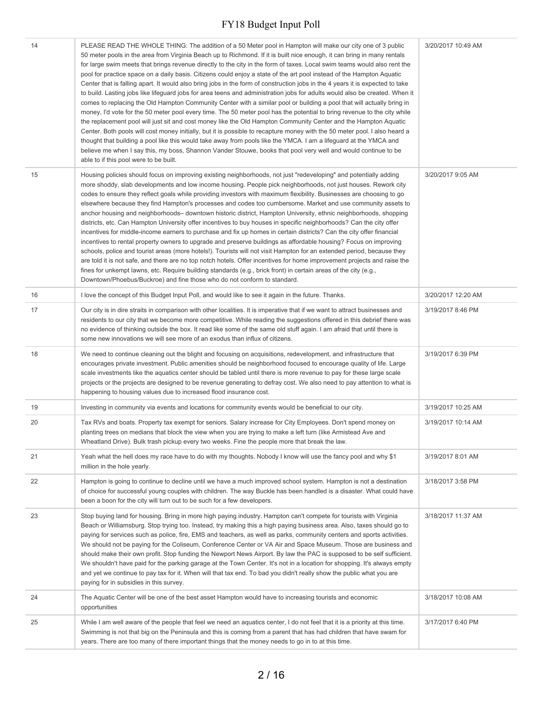| 14<br>PLEASE READ THE WHOLE THING: The addition of a 50 Meter pool in Hampton will make our city one of 3 public<br>3/20/2017 10:49 AM<br>50 meter pools in the area from Virginia Beach up to Richmond. If it is built nice enough, it can bring in many rentals<br>for large swim meets that brings revenue directly to the city in the form of taxes. Local swim teams would also rent the<br>pool for practice space on a daily basis. Citizens could enjoy a state of the art pool instead of the Hampton Aquatic<br>Center that is falling apart. It would also bring jobs in the form of construction jobs in the 4 years it is expected to take<br>to build. Lasting jobs like lifeguard jobs for area teens and administration jobs for adults would also be created. When it<br>comes to replacing the Old Hampton Community Center with a similar pool or building a pool that will actually bring in<br>money, I'd vote for the 50 meter pool every time. The 50 meter pool has the potential to bring revenue to the city while<br>the replacement pool will just sit and cost money like the Old Hampton Community Center and the Hampton Aquatic<br>Center. Both pools will cost money initially, but it is possible to recapture money with the 50 meter pool. I also heard a<br>thought that building a pool like this would take away from pools like the YMCA. I am a lifeguard at the YMCA and<br>believe me when I say this, my boss, Shannon Vander Stouwe, books that pool very well and would continue to be<br>able to if this pool were to be built.<br>15<br>Housing policies should focus on improving existing neighborhoods, not just "redeveloping" and potentially adding<br>3/20/2017 9:05 AM<br>more shoddy, slab developments and low income housing. People pick neighborhoods, not just houses. Rework city<br>codes to ensure they reflect goals while providing investors with maximum flexibility. Businesses are choosing to go<br>elsewhere because they find Hampton's processes and codes too cumbersome. Market and use community assets to<br>anchor housing and neighborhoods- downtown historic district, Hampton University, ethnic neighborhoods, shopping<br>districts, etc. Can Hampton University offer incentives to buy houses in specific neighborhoods? Can the city offer<br>incentives for middle-income earners to purchase and fix up homes in certain districts? Can the city offer financial<br>incentives to rental property owners to upgrade and preserve buildings as affordable housing? Focus on improving<br>schools, police and tourist areas (more hotels!). Tourists will not visit Hampton for an extended period, because they<br>are told it is not safe, and there are no top notch hotels. Offer incentives for home improvement projects and raise the<br>fines for unkempt lawns, etc. Require building standards (e.g., brick front) in certain areas of the city (e.g.,<br>Downtown/Phoebus/Buckroe) and fine those who do not conform to standard.<br>16<br>3/20/2017 12:20 AM<br>I love the concept of this Budget Input Poll, and would like to see it again in the future. Thanks.<br>17<br>Our city is in dire straits in comparison with other localities. It is imperative that if we want to attract businesses and<br>3/19/2017 8:46 PM<br>residents to our city that we become more competitive. While reading the suggestions offered in this debrief there was<br>no evidence of thinking outside the box. It read like some of the same old stuff again. I am afraid that until there is<br>some new innovations we will see more of an exodus than influx of citizens.<br>18<br>We need to continue cleaning out the blight and focusing on acquisitions, redevelopment, and infrastructure that<br>3/19/2017 6:39 PM<br>encourages private investment. Public amenities should be neighborhood focused to encourage quality of life. Large<br>scale investments like the aquatics center should be tabled until there is more revenue to pay for these large scale<br>projects or the projects are designed to be revenue generating to defray cost. We also need to pay attention to what is<br>happening to housing values due to increased flood insurance cost.<br>19<br>Investing in community via events and locations for community events would be beneficial to our city.<br>3/19/2017 10:25 AM<br>20<br>Tax RVs and boats. Property tax exempt for seniors. Salary increase for City Employees. Don't spend money on<br>3/19/2017 10:14 AM<br>planting trees on medians that block the view when you are trying to make a left turn (like Armistead Ave and<br>Wheatland Drive). Bulk trash pickup every two weeks. Fine the people more that break the law.<br>21<br>Yeah what the hell does my race have to do with my thoughts. Nobody I know will use the fancy pool and why \$1<br>3/19/2017 8:01 AM<br>million in the hole yearly.<br>22<br>Hampton is going to continue to decline until we have a much improved school system. Hampton is not a destination<br>3/18/2017 3:58 PM<br>of choice for successful young couples with children. The way Buckle has been handled is a disaster. What could have<br>been a boon for the city will turn out to be such for a few developers.<br>23<br>Stop buying land for housing. Bring in more high paying industry. Hampton can't compete for tourists with Virginia<br>3/18/2017 11:37 AM<br>Beach or Williamsburg. Stop trying too. Instead, try making this a high paying business area. Also, taxes should go to<br>paying for services such as police, fire, EMS and teachers, as well as parks, community centers and sports activities.<br>We should not be paying for the Coliseum, Conference Center or VA Air and Space Museum. Those are business and<br>should make their own profit. Stop funding the Newport News Airport. By law the PAC is supposed to be self sufficient.<br>We shouldn't have paid for the parking garage at the Town Center. It's not in a location for shopping. It's always empty<br>and yet we continue to pay tax for it. When will that tax end. To bad you didn't really show the public what you are<br>paying for in subsidies in this survey.<br>24<br>The Aquatic Center will be one of the best asset Hampton would have to increasing tourists and economic<br>3/18/2017 10:08 AM<br>opportunities<br>While I am well aware of the people that feel we need an aquatics center, I do not feel that it is a priority at this time.<br>25<br>3/17/2017 6:40 PM<br>Swimming is not that big on the Peninsula and this is coming from a parent that has had children that have swam for<br>years. There are too many of there important things that the money needs to go in to at this time. |  |  |
|--------------------------------------------------------------------------------------------------------------------------------------------------------------------------------------------------------------------------------------------------------------------------------------------------------------------------------------------------------------------------------------------------------------------------------------------------------------------------------------------------------------------------------------------------------------------------------------------------------------------------------------------------------------------------------------------------------------------------------------------------------------------------------------------------------------------------------------------------------------------------------------------------------------------------------------------------------------------------------------------------------------------------------------------------------------------------------------------------------------------------------------------------------------------------------------------------------------------------------------------------------------------------------------------------------------------------------------------------------------------------------------------------------------------------------------------------------------------------------------------------------------------------------------------------------------------------------------------------------------------------------------------------------------------------------------------------------------------------------------------------------------------------------------------------------------------------------------------------------------------------------------------------------------------------------------------------------------------------------------------------------------------------------------------------------------------------------------------------------------------------------------------------------------------------------------------------------------------------------------------------------------------------------------------------------------------------------------------------------------------------------------------------------------------------------------------------------------------------------------------------------------------------------------------------------------------------------------------------------------------------------------------------------------------------------------------------------------------------------------------------------------------------------------------------------------------------------------------------------------------------------------------------------------------------------------------------------------------------------------------------------------------------------------------------------------------------------------------------------------------------------------------------------------------------------------------------------------------------------------------------------------------------------------------------------------------------------------------------------------------------------------------------------------------------------------------------------------------------------------------------------------------------------------------------------------------------------------------------------------------------------------------------------------------------------------------------------------------------------------------------------------------------------------------------------------------------------------------------------------------------------------------------------------------------------------------------------------------------------------------------------------------------------------------------------------------------------------------------------------------------------------------------------------------------------------------------------------------------------------------------------------------------------------------------------------------------------------------------------------------------------------------------------------------------------------------------------------------------------------------------------------------------------------------------------------------------------------------------------------------------------------------------------------------------------------------------------------------------------------------------------------------------------------------------------------------------------------------------------------------------------------------------------------------------------------------------------------------------------------------------------------------------------------------------------------------------------------------------------------------------------------------------------------------------------------------------------------------------------------------------------------------------------------------------------------------------------------------------------------------------------------------------------------------------------------------------------------------------------------------------------------------------------------------------------------------------------------------------------------------------------------------------------------------------------------------------------------------------------------------------------------------------------------------------------------------------------------------------------------------------------------------------------------------------------------------------------------------------------------------------------------------------------------------------------------------------------------------------------------------------------------------------------------------------------------------------------------------------------------------------------------------------------------------------------------------------------------------------------------------------------------------------------------------------------------------------------------------------------------------------------------------------------------------------------------------------------------------------------------------------------------------------------------------------------------------------------------------------------------------------------------------------------------------------------|--|--|
|                                                                                                                                                                                                                                                                                                                                                                                                                                                                                                                                                                                                                                                                                                                                                                                                                                                                                                                                                                                                                                                                                                                                                                                                                                                                                                                                                                                                                                                                                                                                                                                                                                                                                                                                                                                                                                                                                                                                                                                                                                                                                                                                                                                                                                                                                                                                                                                                                                                                                                                                                                                                                                                                                                                                                                                                                                                                                                                                                                                                                                                                                                                                                                                                                                                                                                                                                                                                                                                                                                                                                                                                                                                                                                                                                                                                                                                                                                                                                                                                                                                                                                                                                                                                                                                                                                                                                                                                                                                                                                                                                                                                                                                                                                                                                                                                                                                                                                                                                                                                                                                                                                                                                                                                                                                                                                                                                                                                                                                                                                                                                                                                                                                                                                                                                                                                                                                                                                                                                                                                                                                                                                                                                                                                                                                                                                                                                                                                                                                                                                                                                                                                                                                                                                                                                                                                        |  |  |
|                                                                                                                                                                                                                                                                                                                                                                                                                                                                                                                                                                                                                                                                                                                                                                                                                                                                                                                                                                                                                                                                                                                                                                                                                                                                                                                                                                                                                                                                                                                                                                                                                                                                                                                                                                                                                                                                                                                                                                                                                                                                                                                                                                                                                                                                                                                                                                                                                                                                                                                                                                                                                                                                                                                                                                                                                                                                                                                                                                                                                                                                                                                                                                                                                                                                                                                                                                                                                                                                                                                                                                                                                                                                                                                                                                                                                                                                                                                                                                                                                                                                                                                                                                                                                                                                                                                                                                                                                                                                                                                                                                                                                                                                                                                                                                                                                                                                                                                                                                                                                                                                                                                                                                                                                                                                                                                                                                                                                                                                                                                                                                                                                                                                                                                                                                                                                                                                                                                                                                                                                                                                                                                                                                                                                                                                                                                                                                                                                                                                                                                                                                                                                                                                                                                                                                                                        |  |  |
|                                                                                                                                                                                                                                                                                                                                                                                                                                                                                                                                                                                                                                                                                                                                                                                                                                                                                                                                                                                                                                                                                                                                                                                                                                                                                                                                                                                                                                                                                                                                                                                                                                                                                                                                                                                                                                                                                                                                                                                                                                                                                                                                                                                                                                                                                                                                                                                                                                                                                                                                                                                                                                                                                                                                                                                                                                                                                                                                                                                                                                                                                                                                                                                                                                                                                                                                                                                                                                                                                                                                                                                                                                                                                                                                                                                                                                                                                                                                                                                                                                                                                                                                                                                                                                                                                                                                                                                                                                                                                                                                                                                                                                                                                                                                                                                                                                                                                                                                                                                                                                                                                                                                                                                                                                                                                                                                                                                                                                                                                                                                                                                                                                                                                                                                                                                                                                                                                                                                                                                                                                                                                                                                                                                                                                                                                                                                                                                                                                                                                                                                                                                                                                                                                                                                                                                                        |  |  |
|                                                                                                                                                                                                                                                                                                                                                                                                                                                                                                                                                                                                                                                                                                                                                                                                                                                                                                                                                                                                                                                                                                                                                                                                                                                                                                                                                                                                                                                                                                                                                                                                                                                                                                                                                                                                                                                                                                                                                                                                                                                                                                                                                                                                                                                                                                                                                                                                                                                                                                                                                                                                                                                                                                                                                                                                                                                                                                                                                                                                                                                                                                                                                                                                                                                                                                                                                                                                                                                                                                                                                                                                                                                                                                                                                                                                                                                                                                                                                                                                                                                                                                                                                                                                                                                                                                                                                                                                                                                                                                                                                                                                                                                                                                                                                                                                                                                                                                                                                                                                                                                                                                                                                                                                                                                                                                                                                                                                                                                                                                                                                                                                                                                                                                                                                                                                                                                                                                                                                                                                                                                                                                                                                                                                                                                                                                                                                                                                                                                                                                                                                                                                                                                                                                                                                                                                        |  |  |
|                                                                                                                                                                                                                                                                                                                                                                                                                                                                                                                                                                                                                                                                                                                                                                                                                                                                                                                                                                                                                                                                                                                                                                                                                                                                                                                                                                                                                                                                                                                                                                                                                                                                                                                                                                                                                                                                                                                                                                                                                                                                                                                                                                                                                                                                                                                                                                                                                                                                                                                                                                                                                                                                                                                                                                                                                                                                                                                                                                                                                                                                                                                                                                                                                                                                                                                                                                                                                                                                                                                                                                                                                                                                                                                                                                                                                                                                                                                                                                                                                                                                                                                                                                                                                                                                                                                                                                                                                                                                                                                                                                                                                                                                                                                                                                                                                                                                                                                                                                                                                                                                                                                                                                                                                                                                                                                                                                                                                                                                                                                                                                                                                                                                                                                                                                                                                                                                                                                                                                                                                                                                                                                                                                                                                                                                                                                                                                                                                                                                                                                                                                                                                                                                                                                                                                                                        |  |  |
|                                                                                                                                                                                                                                                                                                                                                                                                                                                                                                                                                                                                                                                                                                                                                                                                                                                                                                                                                                                                                                                                                                                                                                                                                                                                                                                                                                                                                                                                                                                                                                                                                                                                                                                                                                                                                                                                                                                                                                                                                                                                                                                                                                                                                                                                                                                                                                                                                                                                                                                                                                                                                                                                                                                                                                                                                                                                                                                                                                                                                                                                                                                                                                                                                                                                                                                                                                                                                                                                                                                                                                                                                                                                                                                                                                                                                                                                                                                                                                                                                                                                                                                                                                                                                                                                                                                                                                                                                                                                                                                                                                                                                                                                                                                                                                                                                                                                                                                                                                                                                                                                                                                                                                                                                                                                                                                                                                                                                                                                                                                                                                                                                                                                                                                                                                                                                                                                                                                                                                                                                                                                                                                                                                                                                                                                                                                                                                                                                                                                                                                                                                                                                                                                                                                                                                                                        |  |  |
|                                                                                                                                                                                                                                                                                                                                                                                                                                                                                                                                                                                                                                                                                                                                                                                                                                                                                                                                                                                                                                                                                                                                                                                                                                                                                                                                                                                                                                                                                                                                                                                                                                                                                                                                                                                                                                                                                                                                                                                                                                                                                                                                                                                                                                                                                                                                                                                                                                                                                                                                                                                                                                                                                                                                                                                                                                                                                                                                                                                                                                                                                                                                                                                                                                                                                                                                                                                                                                                                                                                                                                                                                                                                                                                                                                                                                                                                                                                                                                                                                                                                                                                                                                                                                                                                                                                                                                                                                                                                                                                                                                                                                                                                                                                                                                                                                                                                                                                                                                                                                                                                                                                                                                                                                                                                                                                                                                                                                                                                                                                                                                                                                                                                                                                                                                                                                                                                                                                                                                                                                                                                                                                                                                                                                                                                                                                                                                                                                                                                                                                                                                                                                                                                                                                                                                                                        |  |  |
|                                                                                                                                                                                                                                                                                                                                                                                                                                                                                                                                                                                                                                                                                                                                                                                                                                                                                                                                                                                                                                                                                                                                                                                                                                                                                                                                                                                                                                                                                                                                                                                                                                                                                                                                                                                                                                                                                                                                                                                                                                                                                                                                                                                                                                                                                                                                                                                                                                                                                                                                                                                                                                                                                                                                                                                                                                                                                                                                                                                                                                                                                                                                                                                                                                                                                                                                                                                                                                                                                                                                                                                                                                                                                                                                                                                                                                                                                                                                                                                                                                                                                                                                                                                                                                                                                                                                                                                                                                                                                                                                                                                                                                                                                                                                                                                                                                                                                                                                                                                                                                                                                                                                                                                                                                                                                                                                                                                                                                                                                                                                                                                                                                                                                                                                                                                                                                                                                                                                                                                                                                                                                                                                                                                                                                                                                                                                                                                                                                                                                                                                                                                                                                                                                                                                                                                                        |  |  |
|                                                                                                                                                                                                                                                                                                                                                                                                                                                                                                                                                                                                                                                                                                                                                                                                                                                                                                                                                                                                                                                                                                                                                                                                                                                                                                                                                                                                                                                                                                                                                                                                                                                                                                                                                                                                                                                                                                                                                                                                                                                                                                                                                                                                                                                                                                                                                                                                                                                                                                                                                                                                                                                                                                                                                                                                                                                                                                                                                                                                                                                                                                                                                                                                                                                                                                                                                                                                                                                                                                                                                                                                                                                                                                                                                                                                                                                                                                                                                                                                                                                                                                                                                                                                                                                                                                                                                                                                                                                                                                                                                                                                                                                                                                                                                                                                                                                                                                                                                                                                                                                                                                                                                                                                                                                                                                                                                                                                                                                                                                                                                                                                                                                                                                                                                                                                                                                                                                                                                                                                                                                                                                                                                                                                                                                                                                                                                                                                                                                                                                                                                                                                                                                                                                                                                                                                        |  |  |
|                                                                                                                                                                                                                                                                                                                                                                                                                                                                                                                                                                                                                                                                                                                                                                                                                                                                                                                                                                                                                                                                                                                                                                                                                                                                                                                                                                                                                                                                                                                                                                                                                                                                                                                                                                                                                                                                                                                                                                                                                                                                                                                                                                                                                                                                                                                                                                                                                                                                                                                                                                                                                                                                                                                                                                                                                                                                                                                                                                                                                                                                                                                                                                                                                                                                                                                                                                                                                                                                                                                                                                                                                                                                                                                                                                                                                                                                                                                                                                                                                                                                                                                                                                                                                                                                                                                                                                                                                                                                                                                                                                                                                                                                                                                                                                                                                                                                                                                                                                                                                                                                                                                                                                                                                                                                                                                                                                                                                                                                                                                                                                                                                                                                                                                                                                                                                                                                                                                                                                                                                                                                                                                                                                                                                                                                                                                                                                                                                                                                                                                                                                                                                                                                                                                                                                                                        |  |  |
|                                                                                                                                                                                                                                                                                                                                                                                                                                                                                                                                                                                                                                                                                                                                                                                                                                                                                                                                                                                                                                                                                                                                                                                                                                                                                                                                                                                                                                                                                                                                                                                                                                                                                                                                                                                                                                                                                                                                                                                                                                                                                                                                                                                                                                                                                                                                                                                                                                                                                                                                                                                                                                                                                                                                                                                                                                                                                                                                                                                                                                                                                                                                                                                                                                                                                                                                                                                                                                                                                                                                                                                                                                                                                                                                                                                                                                                                                                                                                                                                                                                                                                                                                                                                                                                                                                                                                                                                                                                                                                                                                                                                                                                                                                                                                                                                                                                                                                                                                                                                                                                                                                                                                                                                                                                                                                                                                                                                                                                                                                                                                                                                                                                                                                                                                                                                                                                                                                                                                                                                                                                                                                                                                                                                                                                                                                                                                                                                                                                                                                                                                                                                                                                                                                                                                                                                        |  |  |
|                                                                                                                                                                                                                                                                                                                                                                                                                                                                                                                                                                                                                                                                                                                                                                                                                                                                                                                                                                                                                                                                                                                                                                                                                                                                                                                                                                                                                                                                                                                                                                                                                                                                                                                                                                                                                                                                                                                                                                                                                                                                                                                                                                                                                                                                                                                                                                                                                                                                                                                                                                                                                                                                                                                                                                                                                                                                                                                                                                                                                                                                                                                                                                                                                                                                                                                                                                                                                                                                                                                                                                                                                                                                                                                                                                                                                                                                                                                                                                                                                                                                                                                                                                                                                                                                                                                                                                                                                                                                                                                                                                                                                                                                                                                                                                                                                                                                                                                                                                                                                                                                                                                                                                                                                                                                                                                                                                                                                                                                                                                                                                                                                                                                                                                                                                                                                                                                                                                                                                                                                                                                                                                                                                                                                                                                                                                                                                                                                                                                                                                                                                                                                                                                                                                                                                                                        |  |  |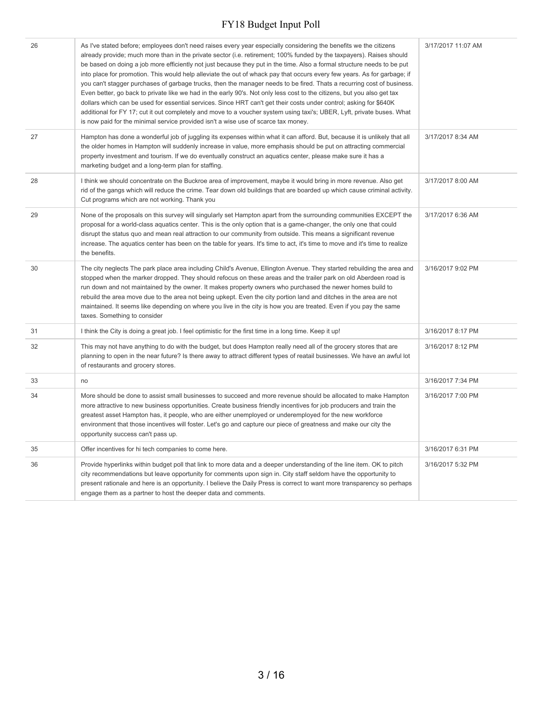| 26 | As I've stated before; employees don't need raises every year especially considering the benefits we the citizens<br>already provide; much more than in the private sector (i.e. retirement; 100% funded by the taxpayers). Raises should<br>be based on doing a job more efficiently not just because they put in the time. Also a formal structure needs to be put<br>into place for promotion. This would help alleviate the out of whack pay that occurs every few years. As for garbage; if<br>you can't stagger purchases of garbage trucks, then the manager needs to be fired. Thats a recurring cost of business.<br>Even better, go back to private like we had in the early 90's. Not only less cost to the citizens, but you also get tax<br>dollars which can be used for essential services. Since HRT can't get their costs under control; asking for \$640K<br>additional for FY 17; cut it out completely and move to a voucher system using taxi's; UBER, Lyft, private buses. What<br>is now paid for the minimal service provided isn't a wise use of scarce tax money. | 3/17/2017 11:07 AM |
|----|---------------------------------------------------------------------------------------------------------------------------------------------------------------------------------------------------------------------------------------------------------------------------------------------------------------------------------------------------------------------------------------------------------------------------------------------------------------------------------------------------------------------------------------------------------------------------------------------------------------------------------------------------------------------------------------------------------------------------------------------------------------------------------------------------------------------------------------------------------------------------------------------------------------------------------------------------------------------------------------------------------------------------------------------------------------------------------------------|--------------------|
| 27 | Hampton has done a wonderful job of juggling its expenses within what it can afford. But, because it is unlikely that all<br>the older homes in Hampton will suddenly increase in value, more emphasis should be put on attracting commercial<br>property investment and tourism. If we do eventually construct an aquatics center, please make sure it has a<br>marketing budget and a long-term plan for staffing.                                                                                                                                                                                                                                                                                                                                                                                                                                                                                                                                                                                                                                                                        | 3/17/2017 8:34 AM  |
| 28 | I think we should concentrate on the Buckroe area of improvement, maybe it would bring in more revenue. Also get<br>rid of the gangs which will reduce the crime. Tear down old buildings that are boarded up which cause criminal activity.<br>Cut programs which are not working. Thank you                                                                                                                                                                                                                                                                                                                                                                                                                                                                                                                                                                                                                                                                                                                                                                                               | 3/17/2017 8:00 AM  |
| 29 | None of the proposals on this survey will singularly set Hampton apart from the surrounding communities EXCEPT the<br>proposal for a world-class aquatics center. This is the only option that is a game-changer, the only one that could<br>disrupt the status quo and mean real attraction to our community from outside. This means a significant revenue<br>increase. The aquatics center has been on the table for years. It's time to act, it's time to move and it's time to realize<br>the benefits.                                                                                                                                                                                                                                                                                                                                                                                                                                                                                                                                                                                | 3/17/2017 6:36 AM  |
| 30 | The city neglects The park place area including Child's Avenue, Ellington Avenue. They started rebuilding the area and<br>stopped when the marker dropped. They should refocus on these areas and the trailer park on old Aberdeen road is<br>run down and not maintained by the owner. It makes property owners who purchased the newer homes build to<br>rebuild the area move due to the area not being upkept. Even the city portion land and ditches in the area are not<br>maintained. It seems like depending on where you live in the city is how you are treated. Even if you pay the same<br>taxes. Something to consider                                                                                                                                                                                                                                                                                                                                                                                                                                                         | 3/16/2017 9:02 PM  |
| 31 | I think the City is doing a great job. I feel optimistic for the first time in a long time. Keep it up!                                                                                                                                                                                                                                                                                                                                                                                                                                                                                                                                                                                                                                                                                                                                                                                                                                                                                                                                                                                     | 3/16/2017 8:17 PM  |
| 32 | This may not have anything to do with the budget, but does Hampton really need all of the grocery stores that are<br>planning to open in the near future? Is there away to attract different types of reatail businesses. We have an awful lot<br>of restaurants and grocery stores.                                                                                                                                                                                                                                                                                                                                                                                                                                                                                                                                                                                                                                                                                                                                                                                                        | 3/16/2017 8:12 PM  |
| 33 | no                                                                                                                                                                                                                                                                                                                                                                                                                                                                                                                                                                                                                                                                                                                                                                                                                                                                                                                                                                                                                                                                                          | 3/16/2017 7:34 PM  |
| 34 | More should be done to assist small businesses to succeed and more revenue should be allocated to make Hampton<br>more attractive to new business opportunities. Create business friendly incentives for job producers and train the<br>greatest asset Hampton has, it people, who are either unemployed or underemployed for the new workforce<br>environment that those incentives will foster. Let's go and capture our piece of greatness and make our city the<br>opportunity success can't pass up.                                                                                                                                                                                                                                                                                                                                                                                                                                                                                                                                                                                   | 3/16/2017 7:00 PM  |
| 35 | Offer incentives for hi tech companies to come here.                                                                                                                                                                                                                                                                                                                                                                                                                                                                                                                                                                                                                                                                                                                                                                                                                                                                                                                                                                                                                                        | 3/16/2017 6:31 PM  |
| 36 | Provide hyperlinks within budget poll that link to more data and a deeper understanding of the line item. OK to pitch<br>city recommendations but leave opportunity for comments upon sign in. City staff seldom have the opportunity to<br>present rationale and here is an opportunity. I believe the Daily Press is correct to want more transparency so perhaps<br>engage them as a partner to host the deeper data and comments.                                                                                                                                                                                                                                                                                                                                                                                                                                                                                                                                                                                                                                                       | 3/16/2017 5:32 PM  |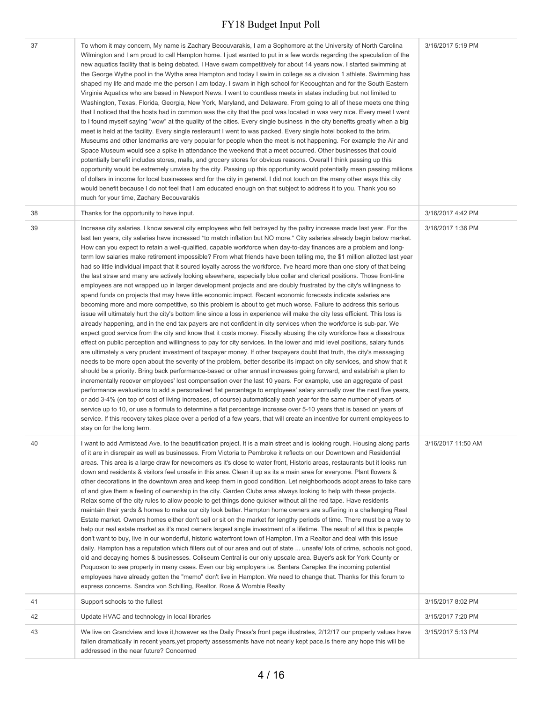| 37 | To whom it may concern, My name is Zachary Becouvarakis, I am a Sophomore at the University of North Carolina<br>Wilmington and I am proud to call Hampton home. I just wanted to put in a few words regarding the speculation of the<br>new aquatics facility that is being debated. I Have swam competitively for about 14 years now. I started swimming at<br>the George Wythe pool in the Wythe area Hampton and today I swim in college as a division 1 athlete. Swimming has<br>shaped my life and made me the person I am today. I swam in high school for Kecoughtan and for the South Eastern<br>Virginia Aquatics who are based in Newport News. I went to countless meets in states including but not limited to<br>Washington, Texas, Florida, Georgia, New York, Maryland, and Delaware. From going to all of these meets one thing<br>that I noticed that the hosts had in common was the city that the pool was located in was very nice. Every meet I went<br>to I found myself saying "wow" at the quality of the cities. Every single business in the city benefits greatly when a big<br>meet is held at the facility. Every single resteraunt I went to was packed. Every single hotel booked to the brim.<br>Museums and other landmarks are very popular for people when the meet is not happening. For example the Air and<br>Space Museum would see a spike in attendance the weekend that a meet occurred. Other businesses that could<br>potentially benefit includes stores, malls, and grocery stores for obvious reasons. Overall I think passing up this<br>opportunity would be extremely unwise by the city. Passing up this opportunity would potentially mean passing millions<br>of dollars in income for local businesses and for the city in general. I did not touch on the many other ways this city<br>would benefit because I do not feel that I am educated enough on that subject to address it to you. Thank you so<br>much for your time, Zachary Becouvarakis                                                                                                                                                                                                                                                                                                                                                                                                                                                                                                                                                                                                                                                      | 3/16/2017 5:19 PM  |
|----|------------------------------------------------------------------------------------------------------------------------------------------------------------------------------------------------------------------------------------------------------------------------------------------------------------------------------------------------------------------------------------------------------------------------------------------------------------------------------------------------------------------------------------------------------------------------------------------------------------------------------------------------------------------------------------------------------------------------------------------------------------------------------------------------------------------------------------------------------------------------------------------------------------------------------------------------------------------------------------------------------------------------------------------------------------------------------------------------------------------------------------------------------------------------------------------------------------------------------------------------------------------------------------------------------------------------------------------------------------------------------------------------------------------------------------------------------------------------------------------------------------------------------------------------------------------------------------------------------------------------------------------------------------------------------------------------------------------------------------------------------------------------------------------------------------------------------------------------------------------------------------------------------------------------------------------------------------------------------------------------------------------------------------------------------------------------------------------------------------------------------------------------------------------------------------------------------------------------------------------------------------------------------------------------------------------------------------------------------------------------------------------------------------------------------------------------------------------------------------------------------------------------------------------------------------------------------------------------------------------------------------------------------------------|--------------------|
| 38 | Thanks for the opportunity to have input.                                                                                                                                                                                                                                                                                                                                                                                                                                                                                                                                                                                                                                                                                                                                                                                                                                                                                                                                                                                                                                                                                                                                                                                                                                                                                                                                                                                                                                                                                                                                                                                                                                                                                                                                                                                                                                                                                                                                                                                                                                                                                                                                                                                                                                                                                                                                                                                                                                                                                                                                                                                                                        | 3/16/2017 4:42 PM  |
| 39 | Increase city salaries. I know several city employees who felt betrayed by the paltry increase made last year. For the<br>last ten years, city salaries have increased *to match inflation but NO more.* City salaries already begin below market.<br>How can you expect to retain a well-qualified, capable workforce when day-to-day finances are a problem and long-<br>term low salaries make retirement impossible? From what friends have been telling me, the \$1 million allotted last year<br>had so little individual impact that it soured loyalty across the workforce. I've heard more than one story of that being<br>the last straw and many are actively looking elsewhere, especially blue collar and clerical positions. Those front-line<br>employees are not wrapped up in larger development projects and are doubly frustrated by the city's willingness to<br>spend funds on projects that may have little economic impact. Recent economic forecasts indicate salaries are<br>becoming more and more competitive, so this problem is about to get much worse. Failure to address this serious<br>issue will ultimately hurt the city's bottom line since a loss in experience will make the city less efficient. This loss is<br>already happening, and in the end tax payers are not confident in city services when the workforce is sub-par. We<br>expect good service from the city and know that it costs money. Fiscally abusing the city workforce has a disastrous<br>effect on public perception and willingness to pay for city services. In the lower and mid level positions, salary funds<br>are ultimately a very prudent investment of taxpayer money. If other taxpayers doubt that truth, the city's messaging<br>needs to be more open about the severity of the problem, better describe its impact on city services, and show that it<br>should be a priority. Bring back performance-based or other annual increases going forward, and establish a plan to<br>incrementally recover employees' lost compensation over the last 10 years. For example, use an aggregate of past<br>performance evaluations to add a personalized flat percentage to employees' salary annually over the next five years,<br>or add 3-4% (on top of cost of living increases, of course) automatically each year for the same number of years of<br>service up to 10, or use a formula to determine a flat percentage increase over 5-10 years that is based on years of<br>service. If this recovery takes place over a period of a few years, that will create an incentive for current employees to<br>stay on for the long term. | 3/16/2017 1:36 PM  |
| 40 | I want to add Armistead Ave. to the beautification project. It is a main street and is looking rough. Housing along parts<br>of it are in disrepair as well as businesses. From Victoria to Pembroke it reflects on our Downtown and Residential<br>areas. This area is a large draw for newcomers as it's close to water front, Historic areas, restaurants but it looks run<br>down and residents & visitors feel unsafe in this area. Clean it up as its a main area for everyone. Plant flowers &<br>other decorations in the downtown area and keep them in good condition. Let neighborhoods adopt areas to take care<br>of and give them a feeling of ownership in the city. Garden Clubs area always looking to help with these projects.<br>Relax some of the city rules to allow people to get things done quicker without all the red tape. Have residents<br>maintain their yards & homes to make our city look better. Hampton home owners are suffering in a challenging Real<br>Estate market. Owners homes either don't sell or sit on the market for lengthy periods of time. There must be a way to<br>help our real estate market as it's most owners largest single investment of a lifetime. The result of all this is people<br>don't want to buy, live in our wonderful, historic waterfront town of Hampton. I'm a Realtor and deal with this issue<br>daily. Hampton has a reputation which filters out of our area and out of state  unsafe/lots of crime, schools not good,<br>old and decaying homes & businesses. Coliseum Central is our only upscale area. Buyer's ask for York County or<br>Poquoson to see property in many cases. Even our big employers i.e. Sentara Careplex the incoming potential<br>employees have already gotten the "memo" don't live in Hampton. We need to change that. Thanks for this forum to<br>express concerns. Sandra von Schilling, Realtor, Rose & Womble Realty                                                                                                                                                                                                                                                                                                                                                                                                                                                                                                                                                                                                                                                                                                                             | 3/16/2017 11:50 AM |
| 41 | Support schools to the fullest                                                                                                                                                                                                                                                                                                                                                                                                                                                                                                                                                                                                                                                                                                                                                                                                                                                                                                                                                                                                                                                                                                                                                                                                                                                                                                                                                                                                                                                                                                                                                                                                                                                                                                                                                                                                                                                                                                                                                                                                                                                                                                                                                                                                                                                                                                                                                                                                                                                                                                                                                                                                                                   | 3/15/2017 8:02 PM  |
| 42 | Update HVAC and technology in local libraries                                                                                                                                                                                                                                                                                                                                                                                                                                                                                                                                                                                                                                                                                                                                                                                                                                                                                                                                                                                                                                                                                                                                                                                                                                                                                                                                                                                                                                                                                                                                                                                                                                                                                                                                                                                                                                                                                                                                                                                                                                                                                                                                                                                                                                                                                                                                                                                                                                                                                                                                                                                                                    | 3/15/2017 7:20 PM  |
| 43 | We live on Grandview and love it, however as the Daily Press's front page illustrates, 2/12/17 our property values have<br>fallen dramatically in recent years, yet property assessments have not nearly kept pace. Is there any hope this will be<br>addressed in the near future? Concerned                                                                                                                                                                                                                                                                                                                                                                                                                                                                                                                                                                                                                                                                                                                                                                                                                                                                                                                                                                                                                                                                                                                                                                                                                                                                                                                                                                                                                                                                                                                                                                                                                                                                                                                                                                                                                                                                                                                                                                                                                                                                                                                                                                                                                                                                                                                                                                    | 3/15/2017 5:13 PM  |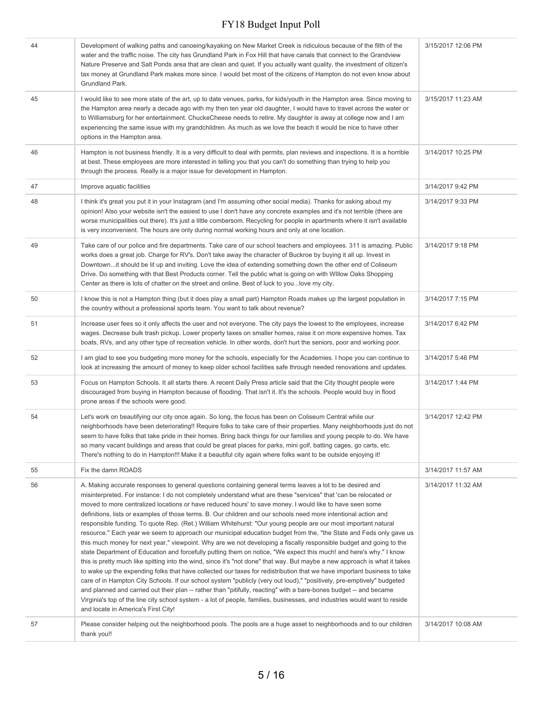| 44 | Development of walking paths and canoeing/kayaking on New Market Creek is ridiculous because of the filth of the<br>water and the traffic noise. The city has Grundland Park in Fox Hill that have canals that connect to the Grandview<br>Nature Preserve and Salt Ponds area that are clean and quiet. If you actually want quality, the investment of citizen's<br>tax money at Grundland Park makes more since. I would bet most of the citizens of Hampton do not even know about<br>Grundland Park.                                                                                                                                                                                                                                                                                                                                                                                                                                                                                                                                                                                                                                                                                                                                                                                                                                                                                                                                                                                                                                                                                                                       | 3/15/2017 12:06 PM |
|----|---------------------------------------------------------------------------------------------------------------------------------------------------------------------------------------------------------------------------------------------------------------------------------------------------------------------------------------------------------------------------------------------------------------------------------------------------------------------------------------------------------------------------------------------------------------------------------------------------------------------------------------------------------------------------------------------------------------------------------------------------------------------------------------------------------------------------------------------------------------------------------------------------------------------------------------------------------------------------------------------------------------------------------------------------------------------------------------------------------------------------------------------------------------------------------------------------------------------------------------------------------------------------------------------------------------------------------------------------------------------------------------------------------------------------------------------------------------------------------------------------------------------------------------------------------------------------------------------------------------------------------|--------------------|
| 45 | I would like to see more state of the art, up to date venues, parks, for kids/youth in the Hampton area. Since moving to<br>the Hampton area nearly a decade ago with my then ten year old daughter, I would have to travel across the water or<br>to Williamsburg for her entertainment. ChuckeCheese needs to retire. My daughter is away at college now and I am<br>experiencing the same issue with my grandchildren. As much as we love the beach it would be nice to have other<br>options in the Hampton area.                                                                                                                                                                                                                                                                                                                                                                                                                                                                                                                                                                                                                                                                                                                                                                                                                                                                                                                                                                                                                                                                                                           | 3/15/2017 11:23 AM |
| 46 | Hampton is not business friendly. It is a very difficult to deal with permits, plan reviews and inspections. It is a horrible<br>at best. These employees are more interested in telling you that you can't do something than trying to help you<br>through the process. Really is a major issue for development in Hampton.                                                                                                                                                                                                                                                                                                                                                                                                                                                                                                                                                                                                                                                                                                                                                                                                                                                                                                                                                                                                                                                                                                                                                                                                                                                                                                    | 3/14/2017 10:25 PM |
| 47 | Improve aquatic facilities                                                                                                                                                                                                                                                                                                                                                                                                                                                                                                                                                                                                                                                                                                                                                                                                                                                                                                                                                                                                                                                                                                                                                                                                                                                                                                                                                                                                                                                                                                                                                                                                      | 3/14/2017 9:42 PM  |
| 48 | I think it's great you put it in your Instagram (and I'm assuming other social media). Thanks for asking about my<br>opinion! Also your website isn't the easiest to use I don't have any concrete examples and it's not terrible (there are<br>worse municipalities out there). It's just a little combersom. Recycling for people in apartments where it isn't available<br>is very inconvenient. The hours are only during normal working hours and only at one location.                                                                                                                                                                                                                                                                                                                                                                                                                                                                                                                                                                                                                                                                                                                                                                                                                                                                                                                                                                                                                                                                                                                                                    | 3/14/2017 9:33 PM  |
| 49 | Take care of our police and fire departments. Take care of our school teachers and employees. 311 is amazing. Public<br>works does a great job. Charge for RV's. Don't take away the character of Buckroe by buying it all up. Invest in<br>Downtownit should be lit up and inviting. Love the idea of extending something down the other end of Coliseum<br>Drive. Do something with that Best Products corner. Tell the public what is going on with Willow Oaks Shopping<br>Center as there is lots of chatter on the street and online. Best of luck to youlove my city.                                                                                                                                                                                                                                                                                                                                                                                                                                                                                                                                                                                                                                                                                                                                                                                                                                                                                                                                                                                                                                                    | 3/14/2017 9:18 PM  |
| 50 | I know this is not a Hampton thing (but it does play a small part) Hampton Roads makes up the largest population in<br>the country without a professional sports team. You want to talk about revenue?                                                                                                                                                                                                                                                                                                                                                                                                                                                                                                                                                                                                                                                                                                                                                                                                                                                                                                                                                                                                                                                                                                                                                                                                                                                                                                                                                                                                                          | 3/14/2017 7:15 PM  |
| 51 | Increase user fees so it only affects the user and not everyone. The city pays the lowest to the employees, increase<br>wages. Decrease bulk trash pickup. Lower property taxes on smaller homes, raise it on more expensive homes. Tax<br>boats, RVs, and any other type of recreation vehicle. In other words, don't hurt the seniors, poor and working poor.                                                                                                                                                                                                                                                                                                                                                                                                                                                                                                                                                                                                                                                                                                                                                                                                                                                                                                                                                                                                                                                                                                                                                                                                                                                                 | 3/14/2017 6:42 PM  |
| 52 | I am glad to see you budgeting more money for the schools, especially for the Academies. I hope you can continue to<br>look at increasing the amount of money to keep older school facilities safe through needed renovations and updates.                                                                                                                                                                                                                                                                                                                                                                                                                                                                                                                                                                                                                                                                                                                                                                                                                                                                                                                                                                                                                                                                                                                                                                                                                                                                                                                                                                                      | 3/14/2017 5:46 PM  |
| 53 | Focus on Hampton Schools. It all starts there. A recent Daily Press article said that the City thought people were<br>discouraged from buying in Hampton because of flooding. That isn't it. It's the schools. People would buy in flood<br>prone areas if the schools were good.                                                                                                                                                                                                                                                                                                                                                                                                                                                                                                                                                                                                                                                                                                                                                                                                                                                                                                                                                                                                                                                                                                                                                                                                                                                                                                                                               | 3/14/2017 1:44 PM  |
| 54 | Let's work on beautifying our city once again. So long, the focus has been on Coliseum Central while our<br>neighborhoods have been deteriorating!! Require folks to take care of their properties. Many neighborhoods just do not<br>seem to have folks that take pride in their homes. Bring back things for our families and young people to do. We have<br>so many vacant buildings and areas that could be great places for parks, mini golf, batting cages, go carts, etc.<br>There's nothing to do in Hampton!!! Make it a beautiful city again where folks want to be outside enjoying it!                                                                                                                                                                                                                                                                                                                                                                                                                                                                                                                                                                                                                                                                                                                                                                                                                                                                                                                                                                                                                              | 3/14/2017 12:42 PM |
| 55 | Fix the damn ROADS                                                                                                                                                                                                                                                                                                                                                                                                                                                                                                                                                                                                                                                                                                                                                                                                                                                                                                                                                                                                                                                                                                                                                                                                                                                                                                                                                                                                                                                                                                                                                                                                              | 3/14/2017 11:57 AM |
| 56 | A. Making accurate responses to general questions containing general terms leaves a lot to be desired and<br>misinterpreted. For instance: I do not completely understand what are these "services" that 'can be relocated or<br>moved to more centralized locations or have reduced hours' to save money. I would like to have seen some<br>definitions, lists or examples of those terms. B. Our children and our schools need more intentional action and<br>responsible funding. To quote Rep. (Ret.) William Whitehurst: "Our young people are our most important natural<br>resource." Each year we seem to approach our municipal education budget from the, "the State and Feds only gave us<br>this much money for next year," viewpoint. Why are we not developing a fiscally responsible budget and going to the<br>state Department of Education and forcefully putting them on notice, "We expect this much! and here's why." I know<br>this is pretty much like spitting into the wind, since it's "not done" that way. But maybe a new approach is what it takes<br>to wake up the expending folks that have collected our taxes for redistribution that we have important business to take<br>care of in Hampton City Schools. If our school system "publicly (very out loud)," "positively, pre-emptively" budgeted<br>and planned and carried out their plan -- rather than "pitifully, reacting" with a bare-bones budget -- and became<br>Virginia's top of the line city school system - a lot of people, families, businesses, and industries would want to reside<br>and locate in America's First City! | 3/14/2017 11:32 AM |
| 57 | Please consider helping out the neighborhood pools. The pools are a huge asset to neighborhoods and to our children<br>thank you!!                                                                                                                                                                                                                                                                                                                                                                                                                                                                                                                                                                                                                                                                                                                                                                                                                                                                                                                                                                                                                                                                                                                                                                                                                                                                                                                                                                                                                                                                                              | 3/14/2017 10:08 AM |
|    |                                                                                                                                                                                                                                                                                                                                                                                                                                                                                                                                                                                                                                                                                                                                                                                                                                                                                                                                                                                                                                                                                                                                                                                                                                                                                                                                                                                                                                                                                                                                                                                                                                 |                    |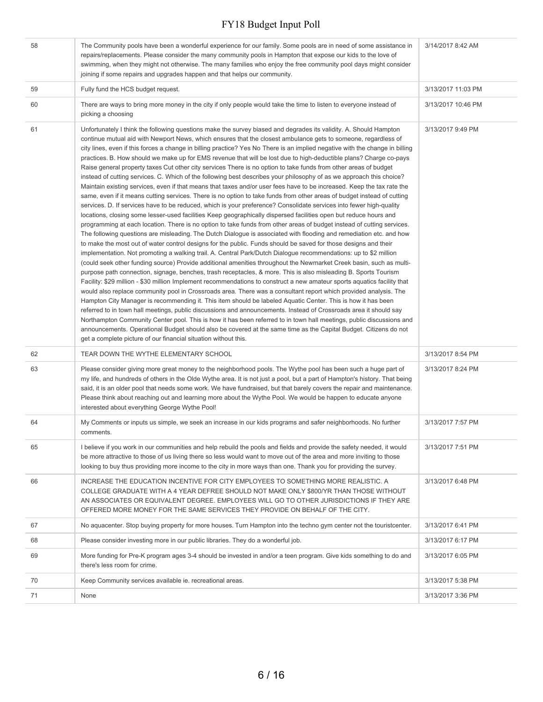| 58 | The Community pools have been a wonderful experience for our family. Some pools are in need of some assistance in<br>repairs/replacements. Please consider the many community pools in Hampton that expose our kids to the love of<br>swimming, when they might not otherwise. The many families who enjoy the free community pool days might consider<br>joining if some repairs and upgrades happen and that helps our community.                                                                                                                                                                                                                                                                                                                                                                                                                                                                                                                                                                                                                                                                                                                                                                                                                                                                                                                                                                                                                                                                                                                                                                                                                                                                                                                                                                                                                                                                                                                                                                                                                                                                                                                                                                                                                                                                                                                                                                                                                                                                                                                                                                                                                                                                                                                                          | 3/14/2017 8:42 AM  |
|----|------------------------------------------------------------------------------------------------------------------------------------------------------------------------------------------------------------------------------------------------------------------------------------------------------------------------------------------------------------------------------------------------------------------------------------------------------------------------------------------------------------------------------------------------------------------------------------------------------------------------------------------------------------------------------------------------------------------------------------------------------------------------------------------------------------------------------------------------------------------------------------------------------------------------------------------------------------------------------------------------------------------------------------------------------------------------------------------------------------------------------------------------------------------------------------------------------------------------------------------------------------------------------------------------------------------------------------------------------------------------------------------------------------------------------------------------------------------------------------------------------------------------------------------------------------------------------------------------------------------------------------------------------------------------------------------------------------------------------------------------------------------------------------------------------------------------------------------------------------------------------------------------------------------------------------------------------------------------------------------------------------------------------------------------------------------------------------------------------------------------------------------------------------------------------------------------------------------------------------------------------------------------------------------------------------------------------------------------------------------------------------------------------------------------------------------------------------------------------------------------------------------------------------------------------------------------------------------------------------------------------------------------------------------------------------------------------------------------------------------------------------------------------|--------------------|
| 59 | Fully fund the HCS budget request.                                                                                                                                                                                                                                                                                                                                                                                                                                                                                                                                                                                                                                                                                                                                                                                                                                                                                                                                                                                                                                                                                                                                                                                                                                                                                                                                                                                                                                                                                                                                                                                                                                                                                                                                                                                                                                                                                                                                                                                                                                                                                                                                                                                                                                                                                                                                                                                                                                                                                                                                                                                                                                                                                                                                           | 3/13/2017 11:03 PM |
| 60 | There are ways to bring more money in the city if only people would take the time to listen to everyone instead of<br>picking a choosing                                                                                                                                                                                                                                                                                                                                                                                                                                                                                                                                                                                                                                                                                                                                                                                                                                                                                                                                                                                                                                                                                                                                                                                                                                                                                                                                                                                                                                                                                                                                                                                                                                                                                                                                                                                                                                                                                                                                                                                                                                                                                                                                                                                                                                                                                                                                                                                                                                                                                                                                                                                                                                     | 3/13/2017 10:46 PM |
| 61 | Unfortunately I think the following questions make the survey biased and degrades its validity. A. Should Hampton<br>continue mutual aid with Newport News, which ensures that the closest ambulance gets to someone, regardless of<br>city lines, even if this forces a change in billing practice? Yes No There is an implied negative with the change in billing<br>practices. B. How should we make up for EMS revenue that will be lost due to high-deductible plans? Charge co-pays<br>Raise general property taxes Cut other city services There is no option to take funds from other areas of budget<br>instead of cutting services. C. Which of the following best describes your philosophy of as we approach this choice?<br>Maintain existing services, even if that means that taxes and/or user fees have to be increased. Keep the tax rate the<br>same, even if it means cutting services. There is no option to take funds from other areas of budget instead of cutting<br>services. D. If services have to be reduced, which is your preference? Consolidate services into fewer high-quality<br>locations, closing some lesser-used facilities Keep geographically dispersed facilities open but reduce hours and<br>programming at each location. There is no option to take funds from other areas of budget instead of cutting services.<br>The following questions are misleading. The Dutch Dialogue is associated with flooding and remediation etc. and how<br>to make the most out of water control designs for the public. Funds should be saved for those designs and their<br>implementation. Not promoting a walking trail. A. Central Park/Dutch Dialogue recommendations: up to \$2 million<br>(could seek other funding source) Provide additional amenities throughout the Newmarket Creek basin, such as multi-<br>purpose path connection, signage, benches, trash receptacles, & more. This is also misleading B. Sports Tourism<br>Facility: \$29 million - \$30 million Implement recommendations to construct a new amateur sports aquatics facility that<br>would also replace community pool in Crossroads area. There was a consultant report which provided analysis. The<br>Hampton City Manager is recommending it. This item should be labeled Aquatic Center. This is how it has been<br>referred to in town hall meetings, public discussions and announcements. Instead of Crossroads area it should say<br>Northampton Community Center pool. This is how it has been referred to in town hall meetings, public discussions and<br>announcements. Operational Budget should also be covered at the same time as the Capital Budget. Citizens do not<br>get a complete picture of our financial situation without this. | 3/13/2017 9:49 PM  |
| 62 | TEAR DOWN THE WYTHE ELEMENTARY SCHOOL                                                                                                                                                                                                                                                                                                                                                                                                                                                                                                                                                                                                                                                                                                                                                                                                                                                                                                                                                                                                                                                                                                                                                                                                                                                                                                                                                                                                                                                                                                                                                                                                                                                                                                                                                                                                                                                                                                                                                                                                                                                                                                                                                                                                                                                                                                                                                                                                                                                                                                                                                                                                                                                                                                                                        | 3/13/2017 8:54 PM  |
| 63 | Please consider giving more great money to the neighborhood pools. The Wythe pool has been such a huge part of<br>my life, and hundreds of others in the Olde Wythe area. It is not just a pool, but a part of Hampton's history. That being<br>said, it is an older pool that needs some work. We have fundraised, but that barely covers the repair and maintenance.<br>Please think about reaching out and learning more about the Wythe Pool. We would be happen to educate anyone<br>interested about everything George Wythe Pool!                                                                                                                                                                                                                                                                                                                                                                                                                                                                                                                                                                                                                                                                                                                                                                                                                                                                                                                                                                                                                                                                                                                                                                                                                                                                                                                                                                                                                                                                                                                                                                                                                                                                                                                                                                                                                                                                                                                                                                                                                                                                                                                                                                                                                                     | 3/13/2017 8:24 PM  |
| 64 | My Comments or inputs us simple, we seek an increase in our kids programs and safer neighborhoods. No further<br>comments.                                                                                                                                                                                                                                                                                                                                                                                                                                                                                                                                                                                                                                                                                                                                                                                                                                                                                                                                                                                                                                                                                                                                                                                                                                                                                                                                                                                                                                                                                                                                                                                                                                                                                                                                                                                                                                                                                                                                                                                                                                                                                                                                                                                                                                                                                                                                                                                                                                                                                                                                                                                                                                                   | 3/13/2017 7:57 PM  |
| 65 | I believe if you work in our communities and help rebuild the pools and fields and provide the safety needed, it would<br>be more attractive to those of us living there so less would want to move out of the area and more inviting to those<br>looking to buy thus providing more income to the city in more ways than one. Thank you for providing the survey.                                                                                                                                                                                                                                                                                                                                                                                                                                                                                                                                                                                                                                                                                                                                                                                                                                                                                                                                                                                                                                                                                                                                                                                                                                                                                                                                                                                                                                                                                                                                                                                                                                                                                                                                                                                                                                                                                                                                                                                                                                                                                                                                                                                                                                                                                                                                                                                                           | 3/13/2017 7:51 PM  |
| 66 | INCREASE THE EDUCATION INCENTIVE FOR CITY EMPLOYEES TO SOMETHING MORE REALISTIC. A<br>COLLEGE GRADUATE WITH A 4 YEAR DEFREE SHOULD NOT MAKE ONLY \$800/YR THAN THOSE WITHOUT<br>AN ASSOCIATES OR EQUIVALENT DEGREE. EMPLOYEES WILL GO TO OTHER JURISDICTIONS IF THEY ARE<br>OFFERED MORE MONEY FOR THE SAME SERVICES THEY PROVIDE ON BEHALF OF THE CITY.                                                                                                                                                                                                                                                                                                                                                                                                                                                                                                                                                                                                                                                                                                                                                                                                                                                                                                                                                                                                                                                                                                                                                                                                                                                                                                                                                                                                                                                                                                                                                                                                                                                                                                                                                                                                                                                                                                                                                                                                                                                                                                                                                                                                                                                                                                                                                                                                                     | 3/13/2017 6:48 PM  |
| 67 | No aquacenter. Stop buying property for more houses. Turn Hampton into the techno gym center not the touristcenter.                                                                                                                                                                                                                                                                                                                                                                                                                                                                                                                                                                                                                                                                                                                                                                                                                                                                                                                                                                                                                                                                                                                                                                                                                                                                                                                                                                                                                                                                                                                                                                                                                                                                                                                                                                                                                                                                                                                                                                                                                                                                                                                                                                                                                                                                                                                                                                                                                                                                                                                                                                                                                                                          | 3/13/2017 6:41 PM  |
| 68 | Please consider investing more in our public libraries. They do a wonderful job.                                                                                                                                                                                                                                                                                                                                                                                                                                                                                                                                                                                                                                                                                                                                                                                                                                                                                                                                                                                                                                                                                                                                                                                                                                                                                                                                                                                                                                                                                                                                                                                                                                                                                                                                                                                                                                                                                                                                                                                                                                                                                                                                                                                                                                                                                                                                                                                                                                                                                                                                                                                                                                                                                             | 3/13/2017 6:17 PM  |
| 69 | More funding for Pre-K program ages 3-4 should be invested in and/or a teen program. Give kids something to do and<br>there's less room for crime.                                                                                                                                                                                                                                                                                                                                                                                                                                                                                                                                                                                                                                                                                                                                                                                                                                                                                                                                                                                                                                                                                                                                                                                                                                                                                                                                                                                                                                                                                                                                                                                                                                                                                                                                                                                                                                                                                                                                                                                                                                                                                                                                                                                                                                                                                                                                                                                                                                                                                                                                                                                                                           | 3/13/2017 6:05 PM  |
| 70 | Keep Community services available ie. recreational areas.                                                                                                                                                                                                                                                                                                                                                                                                                                                                                                                                                                                                                                                                                                                                                                                                                                                                                                                                                                                                                                                                                                                                                                                                                                                                                                                                                                                                                                                                                                                                                                                                                                                                                                                                                                                                                                                                                                                                                                                                                                                                                                                                                                                                                                                                                                                                                                                                                                                                                                                                                                                                                                                                                                                    | 3/13/2017 5:38 PM  |
| 71 | None                                                                                                                                                                                                                                                                                                                                                                                                                                                                                                                                                                                                                                                                                                                                                                                                                                                                                                                                                                                                                                                                                                                                                                                                                                                                                                                                                                                                                                                                                                                                                                                                                                                                                                                                                                                                                                                                                                                                                                                                                                                                                                                                                                                                                                                                                                                                                                                                                                                                                                                                                                                                                                                                                                                                                                         | 3/13/2017 3:36 PM  |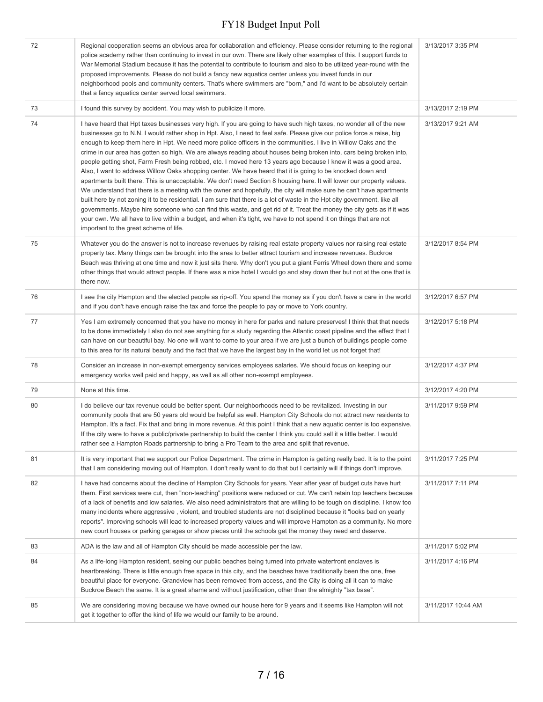| 72 | Regional cooperation seems an obvious area for collaboration and efficiency. Please consider returning to the regional<br>police academy rather than continuing to invest in our own. There are likely other examples of this. I support funds to<br>War Memorial Stadium because it has the potential to contribute to tourism and also to be utilized year-round with the<br>proposed improvements. Please do not build a fancy new aquatics center unless you invest funds in our<br>neighborhood pools and community centers. That's where swimmers are "born," and I'd want to be absolutely certain<br>that a fancy aquatics center served local swimmers.                                                                                                                                                                                                                                                                                                                                                                                                                                                                                                                                                                                                                                                                                                                                    | 3/13/2017 3:35 PM  |
|----|-----------------------------------------------------------------------------------------------------------------------------------------------------------------------------------------------------------------------------------------------------------------------------------------------------------------------------------------------------------------------------------------------------------------------------------------------------------------------------------------------------------------------------------------------------------------------------------------------------------------------------------------------------------------------------------------------------------------------------------------------------------------------------------------------------------------------------------------------------------------------------------------------------------------------------------------------------------------------------------------------------------------------------------------------------------------------------------------------------------------------------------------------------------------------------------------------------------------------------------------------------------------------------------------------------------------------------------------------------------------------------------------------------|--------------------|
| 73 | I found this survey by accident. You may wish to publicize it more.                                                                                                                                                                                                                                                                                                                                                                                                                                                                                                                                                                                                                                                                                                                                                                                                                                                                                                                                                                                                                                                                                                                                                                                                                                                                                                                                 | 3/13/2017 2:19 PM  |
| 74 | I have heard that Hpt taxes businesses very high. If you are going to have such high taxes, no wonder all of the new<br>businesses go to N.N. I would rather shop in Hpt. Also, I need to feel safe. Please give our police force a raise, big<br>enough to keep them here in Hpt. We need more police officers in the communities. I live in Willow Oaks and the<br>crime in our area has gotten so high. We are always reading about houses being broken into, cars being broken into,<br>people getting shot, Farm Fresh being robbed, etc. I moved here 13 years ago because I knew it was a good area.<br>Also, I want to address Willow Oaks shopping center. We have heard that it is going to be knocked down and<br>apartments built there. This is unacceptable. We don't need Section 8 housing here. It will lower our property values.<br>We understand that there is a meeting with the owner and hopefully, the city will make sure he can't have apartments<br>built here by not zoning it to be residential. I am sure that there is a lot of waste in the Hpt city government, like all<br>governments. Maybe hire someone who can find this waste, and get rid of it. Treat the money the city gets as if it was<br>your own. We all have to live within a budget, and when it's tight, we have to not spend it on things that are not<br>important to the great scheme of life. | 3/13/2017 9:21 AM  |
| 75 | Whatever you do the answer is not to increase revenues by raising real estate property values nor raising real estate<br>property tax. Many things can be brought into the area to better attract tourism and increase revenues. Buckroe<br>Beach was thriving at one time and now it just sits there. Why don't you put a giant Ferris Wheel down there and some<br>other things that would attract people. If there was a nice hotel I would go and stay down ther but not at the one that is<br>there now.                                                                                                                                                                                                                                                                                                                                                                                                                                                                                                                                                                                                                                                                                                                                                                                                                                                                                       | 3/12/2017 8:54 PM  |
| 76 | I see the city Hampton and the elected people as rip-off. You spend the money as if you don't have a care in the world<br>and if you don't have enough raise the tax and force the people to pay or move to York country.                                                                                                                                                                                                                                                                                                                                                                                                                                                                                                                                                                                                                                                                                                                                                                                                                                                                                                                                                                                                                                                                                                                                                                           | 3/12/2017 6:57 PM  |
| 77 | Yes I am extremely concerned that you have no money in here for parks and nature preserves! I think that that needs<br>to be done immediately I also do not see anything for a study regarding the Atlantic coast pipeline and the effect that I<br>can have on our beautiful bay. No one will want to come to your area if we are just a bunch of buildings people come<br>to this area for its natural beauty and the fact that we have the largest bay in the world let us not forget that!                                                                                                                                                                                                                                                                                                                                                                                                                                                                                                                                                                                                                                                                                                                                                                                                                                                                                                      | 3/12/2017 5:18 PM  |
| 78 | Consider an increase in non-exempt emergency services employees salaries. We should focus on keeping our<br>emergency works well paid and happy, as well as all other non-exempt employees.                                                                                                                                                                                                                                                                                                                                                                                                                                                                                                                                                                                                                                                                                                                                                                                                                                                                                                                                                                                                                                                                                                                                                                                                         | 3/12/2017 4:37 PM  |
| 79 | None at this time.                                                                                                                                                                                                                                                                                                                                                                                                                                                                                                                                                                                                                                                                                                                                                                                                                                                                                                                                                                                                                                                                                                                                                                                                                                                                                                                                                                                  | 3/12/2017 4:20 PM  |
| 80 | I do believe our tax revenue could be better spent. Our neighborhoods need to be revitalized. Investing in our<br>community pools that are 50 years old would be helpful as well. Hampton City Schools do not attract new residents to<br>Hampton. It's a fact. Fix that and bring in more revenue. At this point I think that a new aquatic center is too expensive.<br>If the city were to have a public/private partnership to build the center I think you could sell it a little better. I would<br>rather see a Hampton Roads partnership to bring a Pro Team to the area and split that revenue.                                                                                                                                                                                                                                                                                                                                                                                                                                                                                                                                                                                                                                                                                                                                                                                             | 3/11/2017 9:59 PM  |
| 81 | It is very important that we support our Police Department. The crime in Hampton is getting really bad. It is to the point<br>that I am considering moving out of Hampton. I don't really want to do that but I certainly will if things don't improve.                                                                                                                                                                                                                                                                                                                                                                                                                                                                                                                                                                                                                                                                                                                                                                                                                                                                                                                                                                                                                                                                                                                                             | 3/11/2017 7:25 PM  |
| 82 | I have had concerns about the decline of Hampton City Schools for years. Year after year of budget cuts have hurt<br>them. First services were cut, then "non-teaching" positions were reduced or cut. We can't retain top teachers because<br>of a lack of benefits and low salaries. We also need administrators that are willing to be tough on discipline. I know too<br>many incidents where aggressive, violent, and troubled students are not disciplined because it "looks bad on yearly<br>reports". Improving schools will lead to increased property values and will improve Hampton as a community. No more<br>new court houses or parking garages or show pieces until the schools get the money they need and deserve.                                                                                                                                                                                                                                                                                                                                                                                                                                                                                                                                                                                                                                                                | 3/11/2017 7:11 PM  |
| 83 | ADA is the law and all of Hampton City should be made accessible per the law.                                                                                                                                                                                                                                                                                                                                                                                                                                                                                                                                                                                                                                                                                                                                                                                                                                                                                                                                                                                                                                                                                                                                                                                                                                                                                                                       | 3/11/2017 5:02 PM  |
| 84 | As a life-long Hampton resident, seeing our public beaches being turned into private waterfront enclaves is<br>heartbreaking. There is little enough free space in this city, and the beaches have traditionally been the one, free<br>beautiful place for everyone. Grandview has been removed from access, and the City is doing all it can to make<br>Buckroe Beach the same. It is a great shame and without justification, other than the almighty "tax base".                                                                                                                                                                                                                                                                                                                                                                                                                                                                                                                                                                                                                                                                                                                                                                                                                                                                                                                                 | 3/11/2017 4:16 PM  |
| 85 | We are considering moving because we have owned our house here for 9 years and it seems like Hampton will not<br>get it together to offer the kind of life we would our family to be around.                                                                                                                                                                                                                                                                                                                                                                                                                                                                                                                                                                                                                                                                                                                                                                                                                                                                                                                                                                                                                                                                                                                                                                                                        | 3/11/2017 10:44 AM |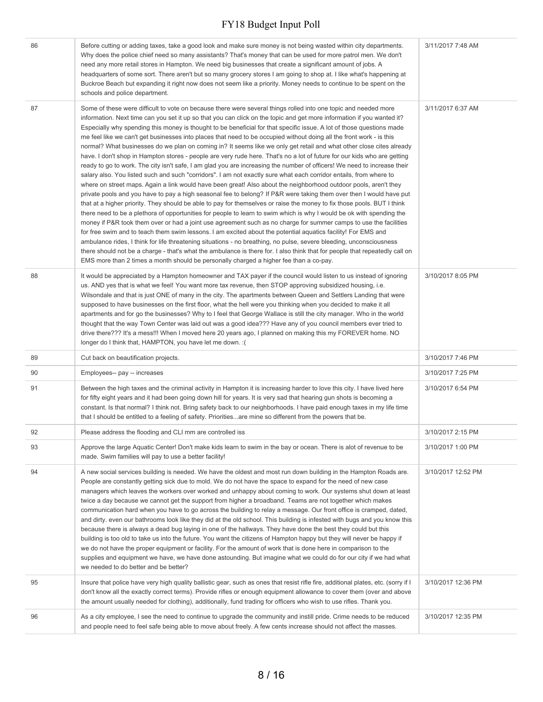| 86 | Before cutting or adding taxes, take a good look and make sure money is not being wasted within city departments.<br>Why does the police chief need so many assistants? That's money that can be used for more patrol men. We don't<br>need any more retail stores in Hampton. We need big businesses that create a significant amount of jobs. A<br>headquarters of some sort. There aren't but so many grocery stores I am going to shop at. I like what's happening at<br>Buckroe Beach but expanding it right now does not seem like a priority. Money needs to continue to be spent on the<br>schools and police department.                                                                                                                                                                                                                                                                                                                                                                                                                                                                                                                                                                                                                                                                                                                                                                                                                                                                                                                                                                                                                                                                                                                                                                                                                                                                                                                                                                                                                                                     | 3/11/2017 7:48 AM  |
|----|---------------------------------------------------------------------------------------------------------------------------------------------------------------------------------------------------------------------------------------------------------------------------------------------------------------------------------------------------------------------------------------------------------------------------------------------------------------------------------------------------------------------------------------------------------------------------------------------------------------------------------------------------------------------------------------------------------------------------------------------------------------------------------------------------------------------------------------------------------------------------------------------------------------------------------------------------------------------------------------------------------------------------------------------------------------------------------------------------------------------------------------------------------------------------------------------------------------------------------------------------------------------------------------------------------------------------------------------------------------------------------------------------------------------------------------------------------------------------------------------------------------------------------------------------------------------------------------------------------------------------------------------------------------------------------------------------------------------------------------------------------------------------------------------------------------------------------------------------------------------------------------------------------------------------------------------------------------------------------------------------------------------------------------------------------------------------------------|--------------------|
| 87 | Some of these were difficult to vote on because there were several things rolled into one topic and needed more<br>information. Next time can you set it up so that you can click on the topic and get more information if you wanted it?<br>Especially why spending this money is thought to be beneficial for that specific issue. A lot of those questions made<br>me feel like we can't get businesses into places that need to be occupied without doing all the front work - is this<br>normal? What businesses do we plan on coming in? It seems like we only get retail and what other close cites already<br>have. I don't shop in Hampton stores - people are very rude here. That's no a lot of future for our kids who are getting<br>ready to go to work. The city isn't safe, I am glad you are increasing the number of officers! We need to increase their<br>salary also. You listed such and such "corridors". I am not exactly sure what each corridor entails, from where to<br>where on street maps. Again a link would have been great! Also about the neighborhood outdoor pools, aren't they<br>private pools and you have to pay a high seasonal fee to belong? If P&R were taking them over then I would have put<br>that at a higher priority. They should be able to pay for themselves or raise the money to fix those pools. BUT I think<br>there need to be a plethora of opportunities for people to learn to swim which is why I would be ok with spending the<br>money if P&R took them over or had a joint use agreement such as no charge for summer camps to use the facilities<br>for free swim and to teach them swim lessons. I am excited about the potential aquatics facility! For EMS and<br>ambulance rides, I think for life threatening situations - no breathing, no pulse, severe bleeding, unconsciousness<br>there should not be a charge - that's what the ambulance is there for. I also think that for people that repeatedly call on<br>EMS more than 2 times a month should be personally charged a higher fee than a co-pay. | 3/11/2017 6:37 AM  |
| 88 | It would be appreciated by a Hampton homeowner and TAX payer if the council would listen to us instead of ignoring<br>us. AND yes that is what we feel! You want more tax revenue, then STOP approving subsidized housing, i.e.<br>Wilsondale and that is just ONE of many in the city. The apartments between Queen and Settlers Landing that were<br>supposed to have businesses on the first floor, what the hell were you thinking when you decided to make it all<br>apartments and for go the businesses? Why to I feel that George Wallace is still the city manager. Who in the world<br>thought that the way Town Center was laid out was a good idea??? Have any of you council members ever tried to<br>drive there??? It's a mess!!! When I moved here 20 years ago, I planned on making this my FOREVER home. NO<br>longer do I think that, HAMPTON, you have let me down. : (                                                                                                                                                                                                                                                                                                                                                                                                                                                                                                                                                                                                                                                                                                                                                                                                                                                                                                                                                                                                                                                                                                                                                                                           | 3/10/2017 8:05 PM  |
| 89 | Cut back on beautification projects.                                                                                                                                                                                                                                                                                                                                                                                                                                                                                                                                                                                                                                                                                                                                                                                                                                                                                                                                                                                                                                                                                                                                                                                                                                                                                                                                                                                                                                                                                                                                                                                                                                                                                                                                                                                                                                                                                                                                                                                                                                                  | 3/10/2017 7:46 PM  |
| 90 | Employees-- pay -- increases                                                                                                                                                                                                                                                                                                                                                                                                                                                                                                                                                                                                                                                                                                                                                                                                                                                                                                                                                                                                                                                                                                                                                                                                                                                                                                                                                                                                                                                                                                                                                                                                                                                                                                                                                                                                                                                                                                                                                                                                                                                          | 3/10/2017 7:25 PM  |
| 91 | Between the high taxes and the criminal activity in Hampton it is increasing harder to love this city. I have lived here<br>for fifty eight years and it had been going down hill for years. It is very sad that hearing gun shots is becoming a<br>constant. Is that normal? I think not. Bring safety back to our neighborhoods. I have paid enough taxes in my life time<br>that I should be entitled to a feeling of safety. Prioritiesare mine so different from the powers that be.                                                                                                                                                                                                                                                                                                                                                                                                                                                                                                                                                                                                                                                                                                                                                                                                                                                                                                                                                                                                                                                                                                                                                                                                                                                                                                                                                                                                                                                                                                                                                                                             | 3/10/2017 6:54 PM  |
| 92 | Please address the flooding and CLI mm are controlled iss                                                                                                                                                                                                                                                                                                                                                                                                                                                                                                                                                                                                                                                                                                                                                                                                                                                                                                                                                                                                                                                                                                                                                                                                                                                                                                                                                                                                                                                                                                                                                                                                                                                                                                                                                                                                                                                                                                                                                                                                                             | 3/10/2017 2:15 PM  |
| 93 | Approve the large Aquatic Center! Don't make kids learn to swim in the bay or ocean. There is alot of revenue to be<br>made. Swim families will pay to use a better facility!                                                                                                                                                                                                                                                                                                                                                                                                                                                                                                                                                                                                                                                                                                                                                                                                                                                                                                                                                                                                                                                                                                                                                                                                                                                                                                                                                                                                                                                                                                                                                                                                                                                                                                                                                                                                                                                                                                         | 3/10/2017 1:00 PM  |
| 94 | A new social services building is needed. We have the oldest and most run down building in the Hampton Roads are.<br>People are constantly getting sick due to mold. We do not have the space to expand for the need of new case<br>managers which leaves the workers over worked and unhappy about coming to work. Our systems shut down at least<br>twice a day because we cannot get the support from higher a broadband. Teams are not together which makes<br>communication hard when you have to go across the building to relay a message. Our front office is cramped, dated,<br>and dirty. even our bathrooms look like they did at the old school. This building is infested with bugs and you know this<br>because there is always a dead bug laying in one of the hallways. They have done the best they could but this<br>building is too old to take us into the future. You want the citizens of Hampton happy but they will never be happy if<br>we do not have the proper equipment or facility. For the amount of work that is done here in comparison to the<br>supplies and equipment we have, we have done astounding. But imagine what we could do for our city if we had what<br>we needed to do better and be better?                                                                                                                                                                                                                                                                                                                                                                                                                                                                                                                                                                                                                                                                                                                                                                                                                                         | 3/10/2017 12:52 PM |
| 95 | Insure that police have very high quality ballistic gear, such as ones that resist rifle fire, additional plates, etc. (sorry if I<br>don't know all the exactly correct terms). Provide rifles or enough equipment allowance to cover them (over and above<br>the amount usually needed for clothing), additionally, fund trading for officers who wish to use rifles. Thank you.                                                                                                                                                                                                                                                                                                                                                                                                                                                                                                                                                                                                                                                                                                                                                                                                                                                                                                                                                                                                                                                                                                                                                                                                                                                                                                                                                                                                                                                                                                                                                                                                                                                                                                    | 3/10/2017 12:36 PM |
| 96 | As a city employee, I see the need to continue to upgrade the community and instill pride. Crime needs to be reduced<br>and people need to feel safe being able to move about freely. A few cents increase should not affect the masses.                                                                                                                                                                                                                                                                                                                                                                                                                                                                                                                                                                                                                                                                                                                                                                                                                                                                                                                                                                                                                                                                                                                                                                                                                                                                                                                                                                                                                                                                                                                                                                                                                                                                                                                                                                                                                                              | 3/10/2017 12:35 PM |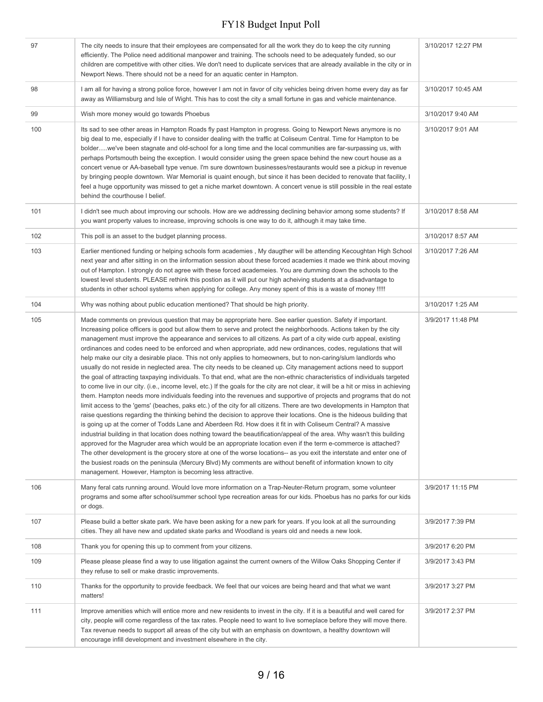| 97  | The city needs to insure that their employees are compensated for all the work they do to keep the city running<br>efficiently. The Police need additional manpower and training. The schools need to be adequately funded, so our<br>children are competitive with other cities. We don't need to duplicate services that are already available in the city or in<br>Newport News. There should not be a need for an aquatic center in Hampton.                                                                                                                                                                                                                                                                                                                                                                                                                                                                                                                                                                                                                                                                                                                                                                                                                                                                                                                                                                                                                                                                                                                                                                                                                                                                                                                                                                                                                                                                                                                                                                                            | 3/10/2017 12:27 PM |
|-----|---------------------------------------------------------------------------------------------------------------------------------------------------------------------------------------------------------------------------------------------------------------------------------------------------------------------------------------------------------------------------------------------------------------------------------------------------------------------------------------------------------------------------------------------------------------------------------------------------------------------------------------------------------------------------------------------------------------------------------------------------------------------------------------------------------------------------------------------------------------------------------------------------------------------------------------------------------------------------------------------------------------------------------------------------------------------------------------------------------------------------------------------------------------------------------------------------------------------------------------------------------------------------------------------------------------------------------------------------------------------------------------------------------------------------------------------------------------------------------------------------------------------------------------------------------------------------------------------------------------------------------------------------------------------------------------------------------------------------------------------------------------------------------------------------------------------------------------------------------------------------------------------------------------------------------------------------------------------------------------------------------------------------------------------|--------------------|
| 98  | I am all for having a strong police force, however I am not in favor of city vehicles being driven home every day as far<br>away as Williamsburg and Isle of Wight. This has to cost the city a small fortune in gas and vehicle maintenance.                                                                                                                                                                                                                                                                                                                                                                                                                                                                                                                                                                                                                                                                                                                                                                                                                                                                                                                                                                                                                                                                                                                                                                                                                                                                                                                                                                                                                                                                                                                                                                                                                                                                                                                                                                                               | 3/10/2017 10:45 AM |
| 99  | Wish more money would go towards Phoebus                                                                                                                                                                                                                                                                                                                                                                                                                                                                                                                                                                                                                                                                                                                                                                                                                                                                                                                                                                                                                                                                                                                                                                                                                                                                                                                                                                                                                                                                                                                                                                                                                                                                                                                                                                                                                                                                                                                                                                                                    | 3/10/2017 9:40 AM  |
| 100 | Its sad to see other areas in Hampton Roads fly past Hampton in progress. Going to Newport News anymore is no<br>big deal to me, especially if I have to consider dealing with the traffic at Coliseum Central. Time for Hampton to be<br>bolderwe've been stagnate and old-school for a long time and the local communities are far-surpassing us, with<br>perhaps Portsmouth being the exception. I would consider using the green space behind the new court house as a<br>concert venue or AA-baseball type venue. I'm sure downtown businesses/restaurants would see a pickup in revenue<br>by bringing people downtown. War Memorial is quaint enough, but since it has been decided to renovate that facility, I<br>feel a huge opportunity was missed to get a niche market downtown. A concert venue is still possible in the real estate<br>behind the courthouse I belief.                                                                                                                                                                                                                                                                                                                                                                                                                                                                                                                                                                                                                                                                                                                                                                                                                                                                                                                                                                                                                                                                                                                                                       | 3/10/2017 9:01 AM  |
| 101 | I didn't see much about improving our schools. How are we addressing declining behavior among some students? If<br>you want property values to increase, improving schools is one way to do it, although it may take time.                                                                                                                                                                                                                                                                                                                                                                                                                                                                                                                                                                                                                                                                                                                                                                                                                                                                                                                                                                                                                                                                                                                                                                                                                                                                                                                                                                                                                                                                                                                                                                                                                                                                                                                                                                                                                  | 3/10/2017 8:58 AM  |
| 102 | This poll is an asset to the budget planning process.                                                                                                                                                                                                                                                                                                                                                                                                                                                                                                                                                                                                                                                                                                                                                                                                                                                                                                                                                                                                                                                                                                                                                                                                                                                                                                                                                                                                                                                                                                                                                                                                                                                                                                                                                                                                                                                                                                                                                                                       | 3/10/2017 8:57 AM  |
| 103 | Earlier mentioned funding or helping schools form academies, My daugther will be attending Kecoughtan High School<br>next year and after sitting in on the iinformation session about these forced academies it made we think about moving<br>out of Hampton. I strongly do not agree with these forced academeies. You are dumming down the schools to the<br>lowest level students. PLEASE rethink this postion as it will put our high acheiving students at a disadvantage to<br>students in other school systems when applying for college. Any money spent of this is a waste of money !!!!!                                                                                                                                                                                                                                                                                                                                                                                                                                                                                                                                                                                                                                                                                                                                                                                                                                                                                                                                                                                                                                                                                                                                                                                                                                                                                                                                                                                                                                          | 3/10/2017 7:26 AM  |
| 104 | Why was nothing about public education mentioned? That should be high priority.                                                                                                                                                                                                                                                                                                                                                                                                                                                                                                                                                                                                                                                                                                                                                                                                                                                                                                                                                                                                                                                                                                                                                                                                                                                                                                                                                                                                                                                                                                                                                                                                                                                                                                                                                                                                                                                                                                                                                             | 3/10/2017 1:25 AM  |
| 105 | Made comments on previous question that may be appropriate here. See earlier question. Safety if important.<br>Increasing police officers is good but allow them to serve and protect the neighborhoods. Actions taken by the city<br>management must improve the appearance and services to all citizens. As part of a city wide curb appeal, existing<br>ordinances and codes need to be enforced and when appropriate, add new ordinances, codes, regulations that will<br>help make our city a desirable place. This not only applies to homeowners, but to non-caring/slum landlords who<br>usually do not reside in neglected area. The city needs to be cleaned up. City management actions need to support<br>the goal of attracting taxpaying individuals. To that end, what are the non-ethnic characteristics of individuals targeted<br>to come live in our city. (i.e., income level, etc.) If the goals for the city are not clear, it will be a hit or miss in achieving<br>them. Hampton needs more individuals feeding into the revenues and supportive of projects and programs that do not<br>limit access to the 'gems' (beaches, paks etc.) of the city for all citizens. There are two developments in Hampton that<br>raise questions regarding the thinking behind the decision to approve their locations. One is the hideous building that<br>is going up at the corner of Todds Lane and Aberdeen Rd. How does it fit in with Coliseum Central? A massive<br>industrial building in that location does nothing toward the beautification/appeal of the area. Why wasn't this building<br>approved for the Magruder area which would be an appropriate location even if the term e-commerce is attached?<br>The other development is the grocery store at one of the worse locations-- as you exit the interstate and enter one of<br>the busiest roads on the peninsula (Mercury Blvd) My comments are without benefit of information known to city<br>management. However, Hampton is becoming less attractive. | 3/9/2017 11:48 PM  |
| 106 | Many feral cats running around. Would love more information on a Trap-Neuter-Return program, some volunteer<br>programs and some after school/summer school type recreation areas for our kids. Phoebus has no parks for our kids<br>or dogs.                                                                                                                                                                                                                                                                                                                                                                                                                                                                                                                                                                                                                                                                                                                                                                                                                                                                                                                                                                                                                                                                                                                                                                                                                                                                                                                                                                                                                                                                                                                                                                                                                                                                                                                                                                                               | 3/9/2017 11:15 PM  |
| 107 | Please build a better skate park. We have been asking for a new park for years. If you look at all the surrounding<br>cities. They all have new and updated skate parks and Woodland is years old and needs a new look.                                                                                                                                                                                                                                                                                                                                                                                                                                                                                                                                                                                                                                                                                                                                                                                                                                                                                                                                                                                                                                                                                                                                                                                                                                                                                                                                                                                                                                                                                                                                                                                                                                                                                                                                                                                                                     | 3/9/2017 7:39 PM   |
| 108 | Thank you for opening this up to comment from your citizens.                                                                                                                                                                                                                                                                                                                                                                                                                                                                                                                                                                                                                                                                                                                                                                                                                                                                                                                                                                                                                                                                                                                                                                                                                                                                                                                                                                                                                                                                                                                                                                                                                                                                                                                                                                                                                                                                                                                                                                                | 3/9/2017 6:20 PM   |
| 109 | Please please please find a way to use litigation against the current owners of the Willow Oaks Shopping Center if<br>they refuse to sell or make drastic improvements.                                                                                                                                                                                                                                                                                                                                                                                                                                                                                                                                                                                                                                                                                                                                                                                                                                                                                                                                                                                                                                                                                                                                                                                                                                                                                                                                                                                                                                                                                                                                                                                                                                                                                                                                                                                                                                                                     | 3/9/2017 3:43 PM   |
| 110 | Thanks for the opportunity to provide feedback. We feel that our voices are being heard and that what we want<br>matters!                                                                                                                                                                                                                                                                                                                                                                                                                                                                                                                                                                                                                                                                                                                                                                                                                                                                                                                                                                                                                                                                                                                                                                                                                                                                                                                                                                                                                                                                                                                                                                                                                                                                                                                                                                                                                                                                                                                   | 3/9/2017 3:27 PM   |
| 111 | Improve amenities which will entice more and new residents to invest in the city. If it is a beautiful and well cared for<br>city, people will come regardless of the tax rates. People need to want to live someplace before they will move there.<br>Tax revenue needs to support all areas of the city but with an emphasis on downtown, a healthy downtown will<br>encourage infill development and investment elsewhere in the city.                                                                                                                                                                                                                                                                                                                                                                                                                                                                                                                                                                                                                                                                                                                                                                                                                                                                                                                                                                                                                                                                                                                                                                                                                                                                                                                                                                                                                                                                                                                                                                                                   | 3/9/2017 2:37 PM   |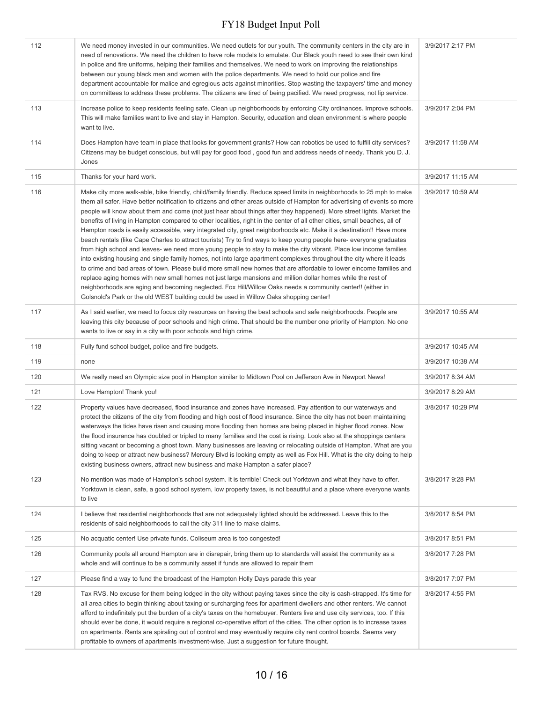| 112 | We need money invested in our communities. We need outlets for our youth. The community centers in the city are in<br>need of renovations. We need the children to have role models to emulate. Our Black youth need to see their own kind<br>in police and fire uniforms, helping their families and themselves. We need to work on improving the relationships<br>between our young black men and women with the police departments. We need to hold our police and fire<br>department accountable for malice and egregious acts against minorities. Stop wasting the taxpayers' time and money<br>on committees to address these problems. The citizens are tired of being pacified. We need progress, not lip service.                                                                                                                                                                                                                                                                                                                                                                                                                                                                                                                                                                                                                                                                                                                             | 3/9/2017 2:17 PM  |
|-----|--------------------------------------------------------------------------------------------------------------------------------------------------------------------------------------------------------------------------------------------------------------------------------------------------------------------------------------------------------------------------------------------------------------------------------------------------------------------------------------------------------------------------------------------------------------------------------------------------------------------------------------------------------------------------------------------------------------------------------------------------------------------------------------------------------------------------------------------------------------------------------------------------------------------------------------------------------------------------------------------------------------------------------------------------------------------------------------------------------------------------------------------------------------------------------------------------------------------------------------------------------------------------------------------------------------------------------------------------------------------------------------------------------------------------------------------------------|-------------------|
| 113 | Increase police to keep residents feeling safe. Clean up neighborhoods by enforcing City ordinances. Improve schools.<br>This will make families want to live and stay in Hampton. Security, education and clean environment is where people<br>want to live.                                                                                                                                                                                                                                                                                                                                                                                                                                                                                                                                                                                                                                                                                                                                                                                                                                                                                                                                                                                                                                                                                                                                                                                          | 3/9/2017 2:04 PM  |
| 114 | Does Hampton have team in place that looks for government grants? How can robotics be used to fulfill city services?<br>Citizens may be budget conscious, but will pay for good food, good fun and address needs of needy. Thank you D. J.<br>Jones                                                                                                                                                                                                                                                                                                                                                                                                                                                                                                                                                                                                                                                                                                                                                                                                                                                                                                                                                                                                                                                                                                                                                                                                    | 3/9/2017 11:58 AM |
| 115 | Thanks for your hard work.                                                                                                                                                                                                                                                                                                                                                                                                                                                                                                                                                                                                                                                                                                                                                                                                                                                                                                                                                                                                                                                                                                                                                                                                                                                                                                                                                                                                                             | 3/9/2017 11:15 AM |
| 116 | Make city more walk-able, bike friendly, child/family friendly. Reduce speed limits in neighborhoods to 25 mph to make<br>them all safer. Have better notification to citizens and other areas outside of Hampton for advertising of events so more<br>people will know about them and come (not just hear about things after they happened). More street lights. Market the<br>benefits of living in Hampton compared to other localities, right in the center of all other cities, small beaches, all of<br>Hampton roads is easily accessible, very integrated city, great neighborhoods etc. Make it a destination!! Have more<br>beach rentals (like Cape Charles to attract tourists) Try to find ways to keep young people here- everyone graduates<br>from high school and leaves- we need more young people to stay to make the city vibrant. Place low income families<br>into existing housing and single family homes, not into large apartment complexes throughout the city where it leads<br>to crime and bad areas of town. Please build more small new homes that are affordable to lower eincome families and<br>replace aging homes with new small homes not just large mansions and million dollar homes while the rest of<br>neighborhoods are aging and becoming neglected. Fox Hill/Willow Oaks needs a community center!! (either in<br>Golsnold's Park or the old WEST building could be used in Willow Oaks shopping center! | 3/9/2017 10:59 AM |
| 117 | As I said earlier, we need to focus city resources on having the best schools and safe neighborhoods. People are<br>leaving this city because of poor schools and high crime. That should be the number one priority of Hampton. No one<br>wants to live or say in a city with poor schools and high crime.                                                                                                                                                                                                                                                                                                                                                                                                                                                                                                                                                                                                                                                                                                                                                                                                                                                                                                                                                                                                                                                                                                                                            | 3/9/2017 10:55 AM |
| 118 | Fully fund school budget, police and fire budgets.                                                                                                                                                                                                                                                                                                                                                                                                                                                                                                                                                                                                                                                                                                                                                                                                                                                                                                                                                                                                                                                                                                                                                                                                                                                                                                                                                                                                     | 3/9/2017 10:45 AM |
| 119 | none                                                                                                                                                                                                                                                                                                                                                                                                                                                                                                                                                                                                                                                                                                                                                                                                                                                                                                                                                                                                                                                                                                                                                                                                                                                                                                                                                                                                                                                   | 3/9/2017 10:38 AM |
| 120 | We really need an Olympic size pool in Hampton similar to Midtown Pool on Jefferson Ave in Newport News!                                                                                                                                                                                                                                                                                                                                                                                                                                                                                                                                                                                                                                                                                                                                                                                                                                                                                                                                                                                                                                                                                                                                                                                                                                                                                                                                               | 3/9/2017 8:34 AM  |
| 121 | Love Hampton! Thank you!                                                                                                                                                                                                                                                                                                                                                                                                                                                                                                                                                                                                                                                                                                                                                                                                                                                                                                                                                                                                                                                                                                                                                                                                                                                                                                                                                                                                                               | 3/9/2017 8:29 AM  |
| 122 | Property values have decreased, flood insurance and zones have increased. Pay attention to our waterways and<br>protect the citizens of the city from flooding and high cost of flood insurance. Since the city has not been maintaining<br>waterways the tides have risen and causing more flooding then homes are being placed in higher flood zones. Now<br>the flood insurance has doubled or tripled to many families and the cost is rising. Look also at the shoppings centers<br>sitting vacant or becoming a ghost town. Many businesses are leaving or relocating outside of Hampton. What are you<br>doing to keep or attract new business? Mercury Blvd is looking empty as well as Fox Hill. What is the city doing to help<br>existing business owners, attract new business and make Hampton a safer place?                                                                                                                                                                                                                                                                                                                                                                                                                                                                                                                                                                                                                             | 3/8/2017 10:29 PM |
| 123 | No mention was made of Hampton's school system. It is terrible! Check out Yorktown and what they have to offer.<br>Yorktown is clean, safe, a good school system, low property taxes, is not beautiful and a place where everyone wants<br>to live                                                                                                                                                                                                                                                                                                                                                                                                                                                                                                                                                                                                                                                                                                                                                                                                                                                                                                                                                                                                                                                                                                                                                                                                     | 3/8/2017 9:28 PM  |
| 124 | I believe that residential neighborhoods that are not adequately lighted should be addressed. Leave this to the<br>residents of said neighborhoods to call the city 311 line to make claims.                                                                                                                                                                                                                                                                                                                                                                                                                                                                                                                                                                                                                                                                                                                                                                                                                                                                                                                                                                                                                                                                                                                                                                                                                                                           | 3/8/2017 8:54 PM  |
| 125 | No acquatic center! Use private funds. Coliseum area is too congested!                                                                                                                                                                                                                                                                                                                                                                                                                                                                                                                                                                                                                                                                                                                                                                                                                                                                                                                                                                                                                                                                                                                                                                                                                                                                                                                                                                                 | 3/8/2017 8:51 PM  |
| 126 | Community pools all around Hampton are in disrepair, bring them up to standards will assist the community as a<br>whole and will continue to be a community asset if funds are allowed to repair them                                                                                                                                                                                                                                                                                                                                                                                                                                                                                                                                                                                                                                                                                                                                                                                                                                                                                                                                                                                                                                                                                                                                                                                                                                                  | 3/8/2017 7:28 PM  |
| 127 | Please find a way to fund the broadcast of the Hampton Holly Days parade this year                                                                                                                                                                                                                                                                                                                                                                                                                                                                                                                                                                                                                                                                                                                                                                                                                                                                                                                                                                                                                                                                                                                                                                                                                                                                                                                                                                     | 3/8/2017 7:07 PM  |
| 128 | Tax RVS. No excuse for them being lodged in the city without paying taxes since the city is cash-strapped. It's time for<br>all area cities to begin thinking about taxing or surcharging fees for apartment dwellers and other renters. We cannot<br>afford to indefinitely put the burden of a city's taxes on the homebuyer. Renters live and use city services, too. If this<br>should ever be done, it would require a regional co-operative effort of the cities. The other option is to increase taxes<br>on apartments. Rents are spiraling out of control and may eventually require city rent control boards. Seems very<br>profitable to owners of apartments investment-wise. Just a suggestion for future thought.                                                                                                                                                                                                                                                                                                                                                                                                                                                                                                                                                                                                                                                                                                                        | 3/8/2017 4:55 PM  |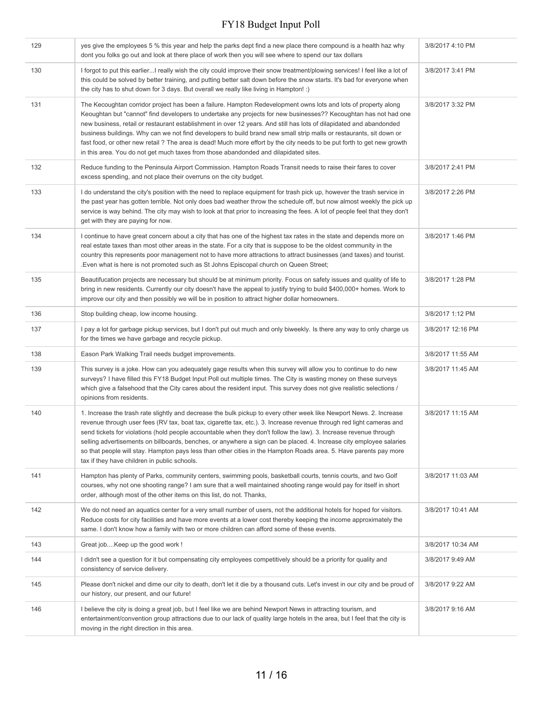| 129 | yes give the employees 5 % this year and help the parks dept find a new place there compound is a health haz why<br>dont you folks go out and look at there place of work then you will see where to spend our tax dollars                                                                                                                                                                                                                                                                                                                                                                                                                                                                         | 3/8/2017 4:10 PM  |
|-----|----------------------------------------------------------------------------------------------------------------------------------------------------------------------------------------------------------------------------------------------------------------------------------------------------------------------------------------------------------------------------------------------------------------------------------------------------------------------------------------------------------------------------------------------------------------------------------------------------------------------------------------------------------------------------------------------------|-------------------|
| 130 | I forgot to put this earlierI really wish the city could improve their snow treatment/plowing services! I feel like a lot of<br>this could be solved by better training, and putting better salt down before the snow starts. It's bad for everyone when<br>the city has to shut down for 3 days. But overall we really like living in Hampton! :)                                                                                                                                                                                                                                                                                                                                                 | 3/8/2017 3:41 PM  |
| 131 | The Kecoughtan corridor project has been a failure. Hampton Redevelopment owns lots and lots of property along<br>Keoughtan but "cannot" find developers to undertake any projects for new businesses?? Kecoughtan has not had one<br>new business, retail or restaurant establishment in over 12 years. And still has lots of dilapidated and abandonded<br>business buildings. Why can we not find developers to build brand new small strip malls or restaurants, sit down or<br>fast food, or other new retail? The area is dead! Much more effort by the city needs to be put forth to get new growth<br>in this area. You do not get much taxes from those abandonded and dilapidated sites. | 3/8/2017 3:32 PM  |
| 132 | Reduce funding to the Peninsula Airport Commission. Hampton Roads Transit needs to raise their fares to cover<br>excess spending, and not place their overruns on the city budget.                                                                                                                                                                                                                                                                                                                                                                                                                                                                                                                 | 3/8/2017 2:41 PM  |
| 133 | I do understand the city's position with the need to replace equipment for trash pick up, however the trash service in<br>the past year has gotten terrible. Not only does bad weather throw the schedule off, but now almost weekly the pick up<br>service is way behind. The city may wish to look at that prior to increasing the fees. A lot of people feel that they don't<br>get with they are paying for now.                                                                                                                                                                                                                                                                               | 3/8/2017 2:26 PM  |
| 134 | I continue to have great concern about a city that has one of the highest tax rates in the state and depends more on<br>real estate taxes than most other areas in the state. For a city that is suppose to be the oldest community in the<br>country this represents poor management not to have more attractions to attract businesses (and taxes) and tourist.<br>Even what is here is not promoted such as St Johns Episcopal church on Queen Street;                                                                                                                                                                                                                                          | 3/8/2017 1:46 PM  |
| 135 | Beautifucation projects are necessary but should be at minimum priority. Focus on safety issues and quality of life to<br>bring in new residents. Currently our city doesn't have the appeal to justify trying to build \$400,000+ homes. Work to<br>improve our city and then possibly we will be in position to attract higher dollar homeowners.                                                                                                                                                                                                                                                                                                                                                | 3/8/2017 1:28 PM  |
| 136 | Stop building cheap, low income housing.                                                                                                                                                                                                                                                                                                                                                                                                                                                                                                                                                                                                                                                           | 3/8/2017 1:12 PM  |
| 137 | I pay a lot for garbage pickup services, but I don't put out much and only biweekly. Is there any way to only charge us<br>for the times we have garbage and recycle pickup.                                                                                                                                                                                                                                                                                                                                                                                                                                                                                                                       | 3/8/2017 12:16 PM |
| 138 | Eason Park Walking Trail needs budget improvements.                                                                                                                                                                                                                                                                                                                                                                                                                                                                                                                                                                                                                                                | 3/8/2017 11:55 AM |
| 139 | This survey is a joke. How can you adequately gage results when this survey will allow you to continue to do new<br>surveys? I have filled this FY18 Budget Input Poll out multiple times. The City is wasting money on these surveys<br>which give a falsehood that the City cares about the resident input. This survey does not give realistic selections /<br>opinions from residents.                                                                                                                                                                                                                                                                                                         | 3/8/2017 11:45 AM |
| 140 | 1. Increase the trash rate slightly and decrease the bulk pickup to every other week like Newport News. 2. Increase<br>revenue through user fees (RV tax, boat tax, cigarette tax, etc.). 3. Increase revenue through red light cameras and<br>send tickets for violations (hold people accountable when they don't follow the law). 3. Increase revenue through<br>selling advertisements on billboards, benches, or anywhere a sign can be placed. 4. Increase city employee salaries<br>so that people will stay. Hampton pays less than other cities in the Hampton Roads area. 5. Have parents pay more<br>tax if they have children in public schools.                                       | 3/8/2017 11:15 AM |
| 141 | Hampton has plenty of Parks, community centers, swimming pools, basketball courts, tennis courts, and two Golf<br>courses, why not one shooting range? I am sure that a well maintained shooting range would pay for itself in short<br>order, although most of the other items on this list, do not. Thanks,                                                                                                                                                                                                                                                                                                                                                                                      | 3/8/2017 11:03 AM |
| 142 | We do not need an aquatics center for a very small number of users, not the additional hotels for hoped for visitors.<br>Reduce costs for city facilities and have more events at a lower cost thereby keeping the income approximately the<br>same. I don't know how a family with two or more children can afford some of these events.                                                                                                                                                                                                                                                                                                                                                          | 3/8/2017 10:41 AM |
| 143 | Great jobKeep up the good work !                                                                                                                                                                                                                                                                                                                                                                                                                                                                                                                                                                                                                                                                   | 3/8/2017 10:34 AM |
| 144 | I didn't see a question for it but compensating city employees competitively should be a priority for quality and<br>consistency of service delivery.                                                                                                                                                                                                                                                                                                                                                                                                                                                                                                                                              | 3/8/2017 9:49 AM  |
| 145 | Please don't nickel and dime our city to death, don't let it die by a thousand cuts. Let's invest in our city and be proud of<br>our history, our present, and our future!                                                                                                                                                                                                                                                                                                                                                                                                                                                                                                                         | 3/8/2017 9:22 AM  |
| 146 | I believe the city is doing a great job, but I feel like we are behind Newport News in attracting tourism, and<br>entertainment/convention group attractions due to our lack of quality large hotels in the area, but I feel that the city is<br>moving in the right direction in this area.                                                                                                                                                                                                                                                                                                                                                                                                       | 3/8/2017 9:16 AM  |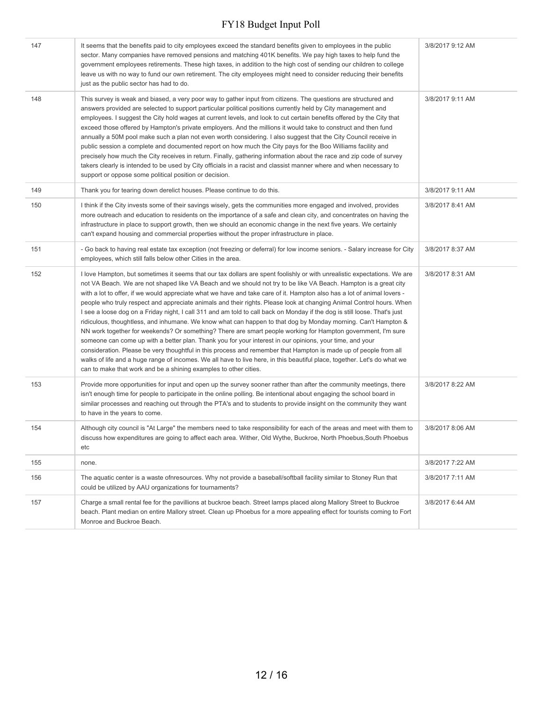| 147 | It seems that the benefits paid to city employees exceed the standard benefits given to employees in the public<br>sector. Many companies have removed pensions and matching 401K benefits. We pay high taxes to help fund the<br>government employees retirements. These high taxes, in addition to the high cost of sending our children to college<br>leave us with no way to fund our own retirement. The city employees might need to consider reducing their benefits<br>just as the public sector has had to do.                                                                                                                                                                                                                                                                                                                                                                                                                                                                                                                                                                                                                                                                                                                                                                       | 3/8/2017 9:12 AM |
|-----|-----------------------------------------------------------------------------------------------------------------------------------------------------------------------------------------------------------------------------------------------------------------------------------------------------------------------------------------------------------------------------------------------------------------------------------------------------------------------------------------------------------------------------------------------------------------------------------------------------------------------------------------------------------------------------------------------------------------------------------------------------------------------------------------------------------------------------------------------------------------------------------------------------------------------------------------------------------------------------------------------------------------------------------------------------------------------------------------------------------------------------------------------------------------------------------------------------------------------------------------------------------------------------------------------|------------------|
| 148 | This survey is weak and biased, a very poor way to gather input from citizens. The questions are structured and<br>answers provided are selected to support particular political positions currently held by City management and<br>employees. I suggest the City hold wages at current levels, and look to cut certain benefits offered by the City that<br>exceed those offered by Hampton's private employers. And the millions it would take to construct and then fund<br>annually a 50M pool make such a plan not even worth considering. I also suggest that the City Council receive in<br>public session a complete and documented report on how much the City pays for the Boo Williams facility and<br>precisely how much the City receives in return. Finally, gathering information about the race and zip code of survey<br>takers clearly is intended to be used by City officials in a racist and classist manner where and when necessary to<br>support or oppose some political position or decision.                                                                                                                                                                                                                                                                       | 3/8/2017 9:11 AM |
| 149 | Thank you for tearing down derelict houses. Please continue to do this.                                                                                                                                                                                                                                                                                                                                                                                                                                                                                                                                                                                                                                                                                                                                                                                                                                                                                                                                                                                                                                                                                                                                                                                                                       | 3/8/2017 9:11 AM |
| 150 | I think if the City invests some of their savings wisely, gets the communities more engaged and involved, provides<br>more outreach and education to residents on the importance of a safe and clean city, and concentrates on having the<br>infrastructure in place to support growth, then we should an economic change in the next five years. We certainly<br>can't expand housing and commercial properties without the proper infrastructure in place.                                                                                                                                                                                                                                                                                                                                                                                                                                                                                                                                                                                                                                                                                                                                                                                                                                  | 3/8/2017 8:41 AM |
| 151 | - Go back to having real estate tax exception (not freezing or deferral) for low income seniors. - Salary increase for City<br>employees, which still falls below other Cities in the area.                                                                                                                                                                                                                                                                                                                                                                                                                                                                                                                                                                                                                                                                                                                                                                                                                                                                                                                                                                                                                                                                                                   | 3/8/2017 8:37 AM |
| 152 | I love Hampton, but sometimes it seems that our tax dollars are spent foolishly or with unrealistic expectations. We are<br>not VA Beach. We are not shaped like VA Beach and we should not try to be like VA Beach. Hampton is a great city<br>with a lot to offer, if we would appreciate what we have and take care of it. Hampton also has a lot of animal lovers -<br>people who truly respect and appreciate animals and their rights. Please look at changing Animal Control hours. When<br>I see a loose dog on a Friday night, I call 311 and am told to call back on Monday if the dog is still loose. That's just<br>ridiculous, thoughtless, and inhumane. We know what can happen to that dog by Monday morning. Can't Hampton &<br>NN work together for weekends? Or something? There are smart people working for Hampton government, I'm sure<br>someone can come up with a better plan. Thank you for your interest in our opinions, your time, and your<br>consideration. Please be very thoughtful in this process and remember that Hampton is made up of people from all<br>walks of life and a huge range of incomes. We all have to live here, in this beautiful place, together. Let's do what we<br>can to make that work and be a shining examples to other cities. | 3/8/2017 8:31 AM |
| 153 | Provide more opportunities for input and open up the survey sooner rather than after the community meetings, there<br>isn't enough time for people to participate in the online polling. Be intentional about engaging the school board in<br>similar processes and reaching out through the PTA's and to students to provide insight on the community they want<br>to have in the years to come.                                                                                                                                                                                                                                                                                                                                                                                                                                                                                                                                                                                                                                                                                                                                                                                                                                                                                             | 3/8/2017 8:22 AM |
| 154 | Although city council is "At Large" the members need to take responsibility for each of the areas and meet with them to<br>discuss how expenditures are going to affect each area. Wither, Old Wythe, Buckroe, North Phoebus, South Phoebus<br>etc                                                                                                                                                                                                                                                                                                                                                                                                                                                                                                                                                                                                                                                                                                                                                                                                                                                                                                                                                                                                                                            | 3/8/2017 8:06 AM |
| 155 | none.                                                                                                                                                                                                                                                                                                                                                                                                                                                                                                                                                                                                                                                                                                                                                                                                                                                                                                                                                                                                                                                                                                                                                                                                                                                                                         | 3/8/2017 7:22 AM |
| 156 | The aquatic center is a waste ofnresources. Why not provide a baseball/softball facility similar to Stoney Run that<br>could be utilized by AAU organizations for tournaments?                                                                                                                                                                                                                                                                                                                                                                                                                                                                                                                                                                                                                                                                                                                                                                                                                                                                                                                                                                                                                                                                                                                | 3/8/2017 7:11 AM |
| 157 | Charge a small rental fee for the pavillions at buckroe beach. Street lamps placed along Mallory Street to Buckroe<br>beach. Plant median on entire Mallory street. Clean up Phoebus for a more appealing effect for tourists coming to Fort<br>Monroe and Buckroe Beach.                                                                                                                                                                                                                                                                                                                                                                                                                                                                                                                                                                                                                                                                                                                                                                                                                                                                                                                                                                                                                     | 3/8/2017 6:44 AM |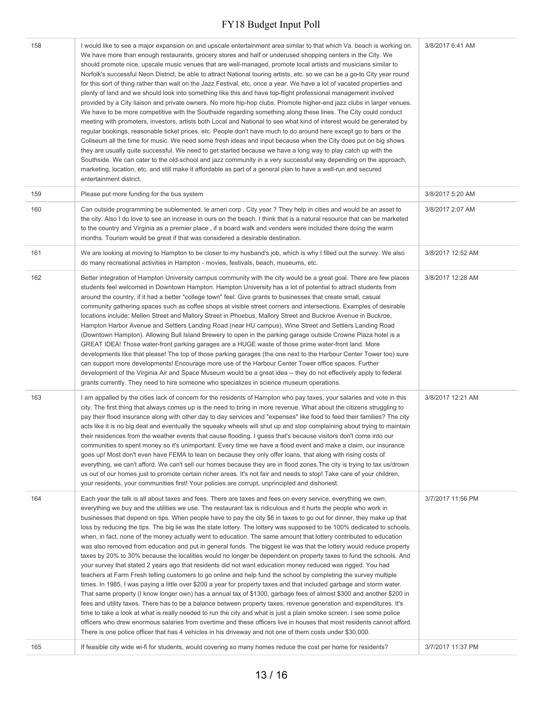| 158 | I would like to see a major expansion on and upscale entertainment area similar to that which Va. beach is working on.<br>We have more than enough restaurants, grocery stores and half or underused shopping centers in the City. We<br>should promote nice, upscale music venues that are well-managed, promote local artists and musicians similar to<br>Norfolk's successful Neon District, be able to attract National touring artists, etc. so we can be a go-to City year round<br>for this sort of thing rather than wait on the Jazz Festival, etc, once a year. We have a lot of vacated properties and<br>plenty of land and we should look into something like this and have top-flight professional management involved<br>provided by a City liaison and private owners. No more hip-hop clubs. Promote higher-end jazz clubs in larger venues.<br>We have to be more competitive with the Southside regarding something along these lines. The City could conduct<br>meeting with promoters, investors, artists both Local and National to see what kind of interest would be generated by<br>regular bookings, reasonable ticket prices, etc. People don't have much to do around here except go to bars or the<br>Coliseum all the time for music. We need some fresh ideas and input because when the City does put on big shows<br>they are usually quite successful. We need to get started because we have a long way to play catch up with the<br>Southside. We can cater to the old-school and jazz community in a very successful way depending on the approach,<br>marketing, location, etc. and still make it affordable as part of a general plan to have a well-run and secured<br>entertainment district.                                                                                               | 3/8/2017 6:41 AM  |
|-----|--------------------------------------------------------------------------------------------------------------------------------------------------------------------------------------------------------------------------------------------------------------------------------------------------------------------------------------------------------------------------------------------------------------------------------------------------------------------------------------------------------------------------------------------------------------------------------------------------------------------------------------------------------------------------------------------------------------------------------------------------------------------------------------------------------------------------------------------------------------------------------------------------------------------------------------------------------------------------------------------------------------------------------------------------------------------------------------------------------------------------------------------------------------------------------------------------------------------------------------------------------------------------------------------------------------------------------------------------------------------------------------------------------------------------------------------------------------------------------------------------------------------------------------------------------------------------------------------------------------------------------------------------------------------------------------------------------------------------------------------------------------------------------------------------------------------------------------|-------------------|
| 159 | Please put more funding for the bus system                                                                                                                                                                                                                                                                                                                                                                                                                                                                                                                                                                                                                                                                                                                                                                                                                                                                                                                                                                                                                                                                                                                                                                                                                                                                                                                                                                                                                                                                                                                                                                                                                                                                                                                                                                                           | 3/8/2017 5:20 AM  |
| 160 | Can outside programming be sublemented. Ie ameri corp. City year? They help in cities and would be an asset to<br>the city. Also I do love to see an increase in ours on the beach. I think that is a natural resource that can be marketed<br>to the country and Virginia as a premier place, if a board walk and venders were included there doing the warm<br>months. Tourism would be great if that was considered a desirable destination.                                                                                                                                                                                                                                                                                                                                                                                                                                                                                                                                                                                                                                                                                                                                                                                                                                                                                                                                                                                                                                                                                                                                                                                                                                                                                                                                                                                      | 3/8/2017 2:07 AM  |
| 161 | We are looking at moving to Hampton to be closer to my husband's job, which is why I filled out the survey. We also<br>do many recreational activities in Hampton - movies, festivals, beach, museums, etc.                                                                                                                                                                                                                                                                                                                                                                                                                                                                                                                                                                                                                                                                                                                                                                                                                                                                                                                                                                                                                                                                                                                                                                                                                                                                                                                                                                                                                                                                                                                                                                                                                          | 3/8/2017 12:52 AM |
| 162 | Better integration of Hampton University campus community with the city would be a great goal. There are few places<br>students feel welcomed in Downtown Hampton. Hampton University has a lot of potential to attract students from<br>around the country, if it had a better "college town" feel. Give grants to businesses that create small, casual<br>community gathering spaces such as coffee shops at visible street corners and intersections. Examples of desirable<br>locations include: Mellen Street and Mallory Street in Phoebus, Mallory Street and Buckroe Avenue in Buckroe,<br>Hampton Harbor Avenue and Settlers Landing Road (near HU campus), Wine Street and Settlers Landing Road<br>(Downtown Hampton). Allowing Bull Island Brewery to open in the parking garage outside Crowne Plaza hotel is a<br>GREAT IDEA! Those water-front parking garages are a HUGE waste of those prime water-front land. More<br>developments like that please! The top of those parking garages (the one next to the Harbour Center Tower too) sure<br>can support more developments! Encourage more use of the Harbour Center Tower office spaces. Further<br>development of the Virginia Air and Space Museum would be a great idea -- they do not effectively apply to federal<br>grants currently. They need to hire someone who specializes in science museum operations.                                                                                                                                                                                                                                                                                                                                                                                                                                               | 3/8/2017 12:28 AM |
| 163 | I am appalled by the cities lack of concern for the residents of Hampton who pay taxes, your salaries and vote in this<br>city. The first thing that always comes up is the need to bring in more revenue. What about the citizens struggling to<br>pay their flood insurance along with other day to day services and "expenses" like food to feed their families? The city<br>acts like it is no big deal and eventually the squeaky wheels will shut up and stop complaining about trying to maintain<br>their residences from the weather events that cause flooding. I quess that's because visitors don't come into our<br>communities to spent money so it's unimportant. Every time we have a flood event and make a claim, our insurance<br>goes up! Most don't even have FEMA to lean on because they only offer loans, that along with rising costs of<br>everything, we can't afford. We can't sell our homes because they are in flood zones. The city is trying to tax us/drown<br>us out of our homes just to promote certain richer areas. It's not fair and needs to stop! Take care of your children,<br>your residents, your communities first! Your policies are corrupt, unprincipled and dishonest.                                                                                                                                                                                                                                                                                                                                                                                                                                                                                                                                                                                                            | 3/8/2017 12:21 AM |
| 164 | Each year the talk is all about taxes and fees. There are taxes and fees on every service, everything we own,<br>everything we buy and the utilities we use. The restaurant tax is ridiculous and it hurts the people who work in<br>businesses that depend on tips. When people have to pay the city \$6 in taxes to go out for dinner, they make up that<br>loss by reducing the tips. The big lie was the state lottery. The lottery was supposed to be 100% dedicated to schools,<br>when, in fact, none of the money actually went to education. The same amount that lottery contributed to education<br>was also removed from education and put in general funds. The biggest lie was that the lottery would reduce property<br>taxes by 20% to 30% because the localities would no longer be dependent on property taxes to fund the schools. And<br>your survey that stated 2 years ago that residents did not want education money reduced was rigged. You had<br>teachers at Farm Fresh telling customers to go online and help fund the school by completing the survey multiple<br>times. In 1985, I was paying a little over \$200 a year for property taxes and that included garbage and storm water.<br>That same property (I know longer own) has a annual tax of \$1300, garbage fees of almost \$300 and another \$200 in<br>fees and utility taxes. There has to be a balance between property taxes, revenue generation and expenditures. It's<br>time to take a look at what is really needed to run the city and what is just a plain smoke screen. I see some police<br>officers who drew enormous salaries from overtime and these officers live in houses that most residents cannot afford.<br>There is one police officer that has 4 vehicles in his driveway and not one of them costs under \$30,000. | 3/7/2017 11:56 PM |
| 165 | If feasible city wide wi-fi for students, would covering so many homes reduce the cost per home for residents?                                                                                                                                                                                                                                                                                                                                                                                                                                                                                                                                                                                                                                                                                                                                                                                                                                                                                                                                                                                                                                                                                                                                                                                                                                                                                                                                                                                                                                                                                                                                                                                                                                                                                                                       | 3/7/2017 11:37 PM |
|     |                                                                                                                                                                                                                                                                                                                                                                                                                                                                                                                                                                                                                                                                                                                                                                                                                                                                                                                                                                                                                                                                                                                                                                                                                                                                                                                                                                                                                                                                                                                                                                                                                                                                                                                                                                                                                                      |                   |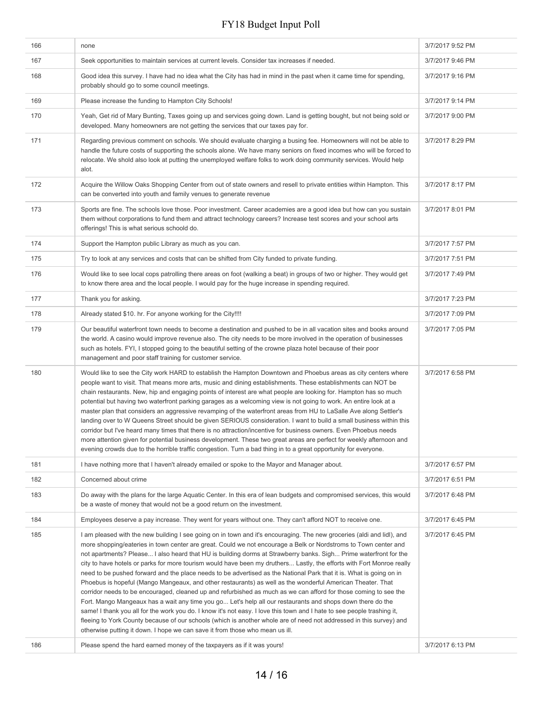| 166 | none                                                                                                                                                                                                                                                                                                                                                                                                                                                                                                                                                                                                                                                                                                                                                                                                                                                                                                                                                                                                                                                                                                                                                                                                                                                                                            | 3/7/2017 9:52 PM |
|-----|-------------------------------------------------------------------------------------------------------------------------------------------------------------------------------------------------------------------------------------------------------------------------------------------------------------------------------------------------------------------------------------------------------------------------------------------------------------------------------------------------------------------------------------------------------------------------------------------------------------------------------------------------------------------------------------------------------------------------------------------------------------------------------------------------------------------------------------------------------------------------------------------------------------------------------------------------------------------------------------------------------------------------------------------------------------------------------------------------------------------------------------------------------------------------------------------------------------------------------------------------------------------------------------------------|------------------|
| 167 | Seek opportunities to maintain services at current levels. Consider tax increases if needed.                                                                                                                                                                                                                                                                                                                                                                                                                                                                                                                                                                                                                                                                                                                                                                                                                                                                                                                                                                                                                                                                                                                                                                                                    | 3/7/2017 9:46 PM |
| 168 | Good idea this survey. I have had no idea what the City has had in mind in the past when it came time for spending,<br>probably should go to some council meetings.                                                                                                                                                                                                                                                                                                                                                                                                                                                                                                                                                                                                                                                                                                                                                                                                                                                                                                                                                                                                                                                                                                                             | 3/7/2017 9:16 PM |
| 169 | Please increase the funding to Hampton City Schools!                                                                                                                                                                                                                                                                                                                                                                                                                                                                                                                                                                                                                                                                                                                                                                                                                                                                                                                                                                                                                                                                                                                                                                                                                                            | 3/7/2017 9:14 PM |
| 170 | Yeah, Get rid of Mary Bunting, Taxes going up and services going down. Land is getting bought, but not being sold or<br>developed. Many homeowners are not getting the services that our taxes pay for.                                                                                                                                                                                                                                                                                                                                                                                                                                                                                                                                                                                                                                                                                                                                                                                                                                                                                                                                                                                                                                                                                         | 3/7/2017 9:00 PM |
| 171 | Regarding previous comment on schools. We should evaluate charging a busing fee. Homeowners will not be able to<br>handle the future costs of supporting the schools alone. We have many seniors on fixed incomes who will be forced to<br>relocate. We shold also look at putting the unemployed welfare folks to work doing community services. Would help<br>alot.                                                                                                                                                                                                                                                                                                                                                                                                                                                                                                                                                                                                                                                                                                                                                                                                                                                                                                                           | 3/7/2017 8:29 PM |
| 172 | Acquire the Willow Oaks Shopping Center from out of state owners and resell to private entities within Hampton. This<br>can be converted into youth and family venues to generate revenue                                                                                                                                                                                                                                                                                                                                                                                                                                                                                                                                                                                                                                                                                                                                                                                                                                                                                                                                                                                                                                                                                                       | 3/7/2017 8:17 PM |
| 173 | Sports are fine. The schools love those. Poor investment. Career academies are a good idea but how can you sustain<br>them without corporations to fund them and attract technology careers? Increase test scores and your school arts<br>offerings! This is what serious schoold do.                                                                                                                                                                                                                                                                                                                                                                                                                                                                                                                                                                                                                                                                                                                                                                                                                                                                                                                                                                                                           | 3/7/2017 8:01 PM |
| 174 | Support the Hampton public Library as much as you can.                                                                                                                                                                                                                                                                                                                                                                                                                                                                                                                                                                                                                                                                                                                                                                                                                                                                                                                                                                                                                                                                                                                                                                                                                                          | 3/7/2017 7:57 PM |
| 175 | Try to look at any services and costs that can be shifted from City funded to private funding.                                                                                                                                                                                                                                                                                                                                                                                                                                                                                                                                                                                                                                                                                                                                                                                                                                                                                                                                                                                                                                                                                                                                                                                                  | 3/7/2017 7:51 PM |
| 176 | Would like to see local cops patrolling there areas on foot (walking a beat) in groups of two or higher. They would get<br>to know there area and the local people. I would pay for the huge increase in spending required.                                                                                                                                                                                                                                                                                                                                                                                                                                                                                                                                                                                                                                                                                                                                                                                                                                                                                                                                                                                                                                                                     | 3/7/2017 7:49 PM |
| 177 | Thank you for asking.                                                                                                                                                                                                                                                                                                                                                                                                                                                                                                                                                                                                                                                                                                                                                                                                                                                                                                                                                                                                                                                                                                                                                                                                                                                                           | 3/7/2017 7:23 PM |
| 178 | Already stated \$10. hr. For anyone working for the City!!!!                                                                                                                                                                                                                                                                                                                                                                                                                                                                                                                                                                                                                                                                                                                                                                                                                                                                                                                                                                                                                                                                                                                                                                                                                                    | 3/7/2017 7:09 PM |
| 179 | Our beautiful waterfront town needs to become a destination and pushed to be in all vacation sites and books around<br>the world. A casino would improve revenue also. The city needs to be more involved in the operation of businesses<br>such as hotels. FYI, I stopped going to the beautiful setting of the crowne plaza hotel because of their poor<br>management and poor staff training for customer service.                                                                                                                                                                                                                                                                                                                                                                                                                                                                                                                                                                                                                                                                                                                                                                                                                                                                           | 3/7/2017 7:05 PM |
| 180 | Would like to see the City work HARD to establish the Hampton Downtown and Phoebus areas as city centers where<br>people want to visit. That means more arts, music and dining establishments. These establishments can NOT be<br>chain restaurants. New, hip and engaging points of interest are what people are looking for. Hampton has so much<br>potential but having two waterfront parking garages as a welcoming view is not going to work. An entire look at a<br>master plan that considers an aggressive revamping of the waterfront areas from HU to LaSalle Ave along Settler's<br>landing over to W Queens Street should be given SERIOUS consideration. I want to build a small business within this<br>corridor but I've heard many times that there is no attraction/incentive for business owners. Even Phoebus needs<br>more attention given for potential business development. These two great areas are perfect for weekly afternoon and<br>evening crowds due to the horrible traffic congestion. Turn a bad thing in to a great opportunity for everyone.                                                                                                                                                                                                               | 3/7/2017 6:58 PM |
| 181 | I have nothing more that I haven't already emailed or spoke to the Mayor and Manager about.                                                                                                                                                                                                                                                                                                                                                                                                                                                                                                                                                                                                                                                                                                                                                                                                                                                                                                                                                                                                                                                                                                                                                                                                     | 3/7/2017 6:57 PM |
| 182 | Concerned about crime                                                                                                                                                                                                                                                                                                                                                                                                                                                                                                                                                                                                                                                                                                                                                                                                                                                                                                                                                                                                                                                                                                                                                                                                                                                                           | 3/7/2017 6:51 PM |
| 183 | Do away with the plans for the large Aquatic Center. In this era of lean budgets and compromised services, this would<br>be a waste of money that would not be a good return on the investment.                                                                                                                                                                                                                                                                                                                                                                                                                                                                                                                                                                                                                                                                                                                                                                                                                                                                                                                                                                                                                                                                                                 | 3/7/2017 6:48 PM |
| 184 | Employees deserve a pay increase. They went for years without one. They can't afford NOT to receive one.                                                                                                                                                                                                                                                                                                                                                                                                                                                                                                                                                                                                                                                                                                                                                                                                                                                                                                                                                                                                                                                                                                                                                                                        | 3/7/2017 6:45 PM |
| 185 | I am pleased with the new building I see going on in town and it's encouraging. The new groceries (aldi and lidl), and<br>more shopping/eateries in town center are great. Could we not encourage a Belk or Nordstroms to Town center and<br>not apartments? Please I also heard that HU is building dorms at Strawberry banks. Sigh Prime waterfront for the<br>city to have hotels or parks for more tourism would have been my druthers Lastly, the efforts with Fort Monroe really<br>need to be pushed forward and the place needs to be advertised as the National Park that it is. What is going on in<br>Phoebus is hopeful (Mango Mangeaux, and other restaurants) as well as the wonderful American Theater. That<br>corridor needs to be encouraged, cleaned up and refurbished as much as we can afford for those coming to see the<br>Fort. Mango Mangeaux has a wait any time you go Let's help all our restaurants and shops down there do the<br>same! I thank you all for the work you do. I know it's not easy. I love this town and I hate to see people trashing it,<br>fleeing to York County because of our schools (which is another whole are of need not addressed in this survey) and<br>otherwise putting it down. I hope we can save it from those who mean us ill. | 3/7/2017 6:45 PM |
| 186 | Please spend the hard earned money of the taxpayers as if it was yours!                                                                                                                                                                                                                                                                                                                                                                                                                                                                                                                                                                                                                                                                                                                                                                                                                                                                                                                                                                                                                                                                                                                                                                                                                         | 3/7/2017 6:13 PM |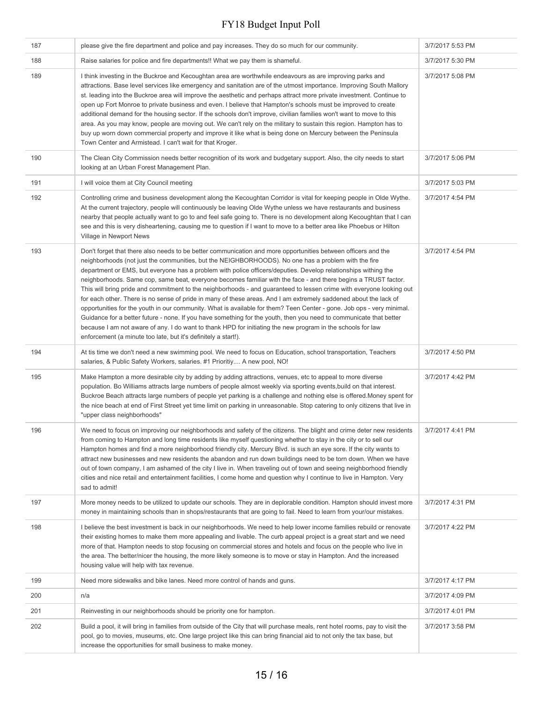| 187 | please give the fire department and police and pay increases. They do so much for our community.                                                                                                                                                                                                                                                                                                                                                                                                                                                                                                                                                                                                                                                                                                                                                                                                                                                                                                                                                                                                                                     | 3/7/2017 5:53 PM |
|-----|--------------------------------------------------------------------------------------------------------------------------------------------------------------------------------------------------------------------------------------------------------------------------------------------------------------------------------------------------------------------------------------------------------------------------------------------------------------------------------------------------------------------------------------------------------------------------------------------------------------------------------------------------------------------------------------------------------------------------------------------------------------------------------------------------------------------------------------------------------------------------------------------------------------------------------------------------------------------------------------------------------------------------------------------------------------------------------------------------------------------------------------|------------------|
| 188 | Raise salaries for police and fire departments!! What we pay them is shameful.                                                                                                                                                                                                                                                                                                                                                                                                                                                                                                                                                                                                                                                                                                                                                                                                                                                                                                                                                                                                                                                       | 3/7/2017 5:30 PM |
| 189 | I think investing in the Buckroe and Kecoughtan area are worthwhile endeavours as are improving parks and<br>attractions. Base level services like emergency and sanitation are of the utmost importance. Improving South Mallory<br>st. leading into the Buckroe area will improve the aesthetic and perhaps attract more private investment. Continue to<br>open up Fort Monroe to private business and even. I believe that Hampton's schools must be improved to create<br>additional demand for the housing sector. If the schools don't improve, civilian families won't want to move to this<br>area. As you may know, people are moving out. We can't rely on the military to sustain this region. Hampton has to<br>buy up worn down commercial property and improve it like what is being done on Mercury between the Peninsula<br>Town Center and Armistead. I can't wait for that Kroger.                                                                                                                                                                                                                                | 3/7/2017 5:08 PM |
| 190 | The Clean City Commission needs better recognition of its work and budgetary support. Also, the city needs to start<br>looking at an Urban Forest Management Plan.                                                                                                                                                                                                                                                                                                                                                                                                                                                                                                                                                                                                                                                                                                                                                                                                                                                                                                                                                                   | 3/7/2017 5:06 PM |
| 191 | I will voice them at City Council meeting                                                                                                                                                                                                                                                                                                                                                                                                                                                                                                                                                                                                                                                                                                                                                                                                                                                                                                                                                                                                                                                                                            | 3/7/2017 5:03 PM |
| 192 | Controlling crime and business development along the Kecoughtan Corridor is vital for keeping people in Olde Wythe.<br>At the current trajectory, people will continuously be leaving Olde Wythe unless we have restaurants and business<br>nearby that people actually want to go to and feel safe going to. There is no development along Kecoughtan that I can<br>see and this is very disheartening, causing me to question if I want to move to a better area like Phoebus or Hilton<br>Village in Newport News                                                                                                                                                                                                                                                                                                                                                                                                                                                                                                                                                                                                                 | 3/7/2017 4:54 PM |
| 193 | Don't forget that there also needs to be better communication and more opportunities between officers and the<br>neighborhoods (not just the communities, but the NEIGHBORHOODS). No one has a problem with the fire<br>department or EMS, but everyone has a problem with police officers/deputies. Develop relationships withing the<br>neighborhoods. Same cop, same beat, everyone becomes familiar with the face - and there begins a TRUST factor.<br>This will bring pride and commitment to the neighborhoods - and guaranteed to lessen crime with everyone looking out<br>for each other. There is no sense of pride in many of these areas. And I am extremely saddened about the lack of<br>opportunities for the youth in our community. What is available for them? Teen Center - gone. Job ops - very minimal.<br>Guidance for a better future - none. If you have something for the youth, then you need to communicate that better<br>because I am not aware of any. I do want to thank HPD for initiating the new program in the schools for law<br>enforcement (a minute too late, but it's definitely a start!). | 3/7/2017 4:54 PM |
| 194 | At tis time we don't need a new swimming pool. We need to focus on Education, school transportation, Teachers<br>salaries, & Public Safety Workers, salaries. #1 Prioritiy A new pool, NO!                                                                                                                                                                                                                                                                                                                                                                                                                                                                                                                                                                                                                                                                                                                                                                                                                                                                                                                                           | 3/7/2017 4:50 PM |
| 195 | Make Hampton a more desirable city by adding by adding attractions, venues, etc to appeal to more diverse<br>population. Bo Williams attracts large numbers of people almost weekly via sporting events, build on that interest.<br>Buckroe Beach attracts large numbers of people yet parking is a challenge and nothing else is offered. Money spent for<br>the nice beach at end of First Street yet time limit on parking in unreasonable. Stop catering to only citizens that live in<br>"upper class neighborhoods"                                                                                                                                                                                                                                                                                                                                                                                                                                                                                                                                                                                                            | 3/7/2017 4:42 PM |
| 196 | We need to focus on improving our neighborhoods and safety of the citizens. The blight and crime deter new residents<br>from coming to Hampton and long time residents like myself questioning whether to stay in the city or to sell our<br>Hampton homes and find a more neighborhood friendly city. Mercury Blvd. is such an eye sore. If the city wants to<br>attract new businesses and new residents the abandon and run down buildings need to be torn down. When we have<br>out of town company, I am ashamed of the city I live in. When traveling out of town and seeing neighborhood friendly<br>cities and nice retail and entertainment facilities, I come home and question why I continue to live in Hampton. Very<br>sad to admit!                                                                                                                                                                                                                                                                                                                                                                                   | 3/7/2017 4:41 PM |
| 197 | More money needs to be utilized to update our schools. They are in deplorable condition. Hampton should invest more<br>money in maintaining schools than in shops/restaurants that are going to fail. Need to learn from your/our mistakes.                                                                                                                                                                                                                                                                                                                                                                                                                                                                                                                                                                                                                                                                                                                                                                                                                                                                                          | 3/7/2017 4:31 PM |
| 198 | I believe the best investment is back in our neighborhoods. We need to help lower income families rebuild or renovate<br>their existing homes to make them more appealing and livable. The curb appeal project is a great start and we need<br>more of that. Hampton needs to stop focusing on commercial stores and hotels and focus on the people who live in<br>the area. The better/nicer the housing, the more likely someone is to move or stay in Hampton. And the increased<br>housing value will help with tax revenue.                                                                                                                                                                                                                                                                                                                                                                                                                                                                                                                                                                                                     | 3/7/2017 4:22 PM |
| 199 | Need more sidewalks and bike lanes. Need more control of hands and guns.                                                                                                                                                                                                                                                                                                                                                                                                                                                                                                                                                                                                                                                                                                                                                                                                                                                                                                                                                                                                                                                             | 3/7/2017 4:17 PM |
| 200 | n/a                                                                                                                                                                                                                                                                                                                                                                                                                                                                                                                                                                                                                                                                                                                                                                                                                                                                                                                                                                                                                                                                                                                                  | 3/7/2017 4:09 PM |
| 201 | Reinvesting in our neighborhoods should be priority one for hampton.                                                                                                                                                                                                                                                                                                                                                                                                                                                                                                                                                                                                                                                                                                                                                                                                                                                                                                                                                                                                                                                                 | 3/7/2017 4:01 PM |
| 202 | Build a pool, it will bring in families from outside of the City that will purchase meals, rent hotel rooms, pay to visit the<br>pool, go to movies, museums, etc. One large project like this can bring financial aid to not only the tax base, but<br>increase the opportunities for small business to make money.                                                                                                                                                                                                                                                                                                                                                                                                                                                                                                                                                                                                                                                                                                                                                                                                                 | 3/7/2017 3:58 PM |